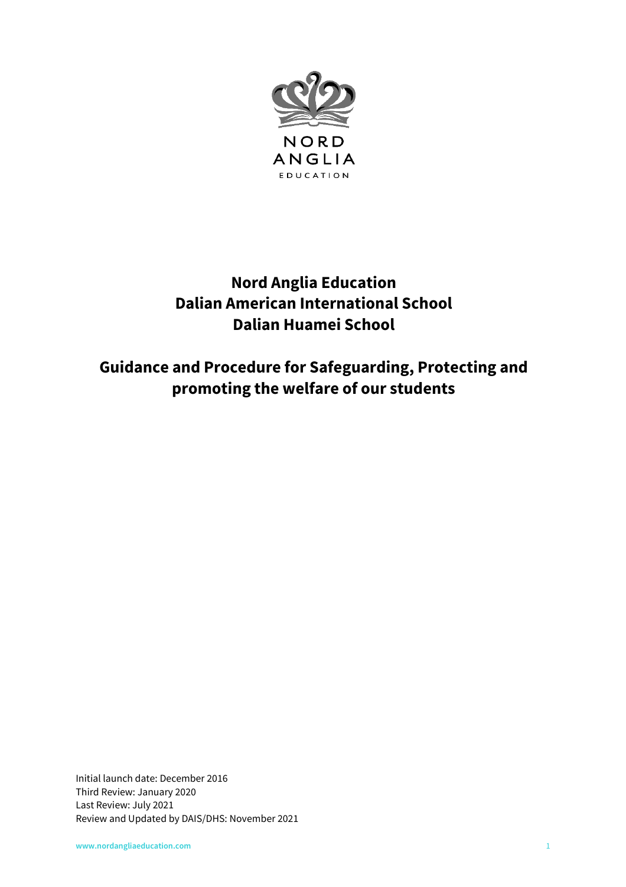

# **Nord Anglia Education Dalian American International School Dalian Huamei School**

# **Guidance and Procedure for Safeguarding, Protecting and promoting the welfare of our students**

Initial launch date: December 2016 Third Review: January 2020 Last Review: July 2021 Review and Updated by DAIS/DHS: November 2021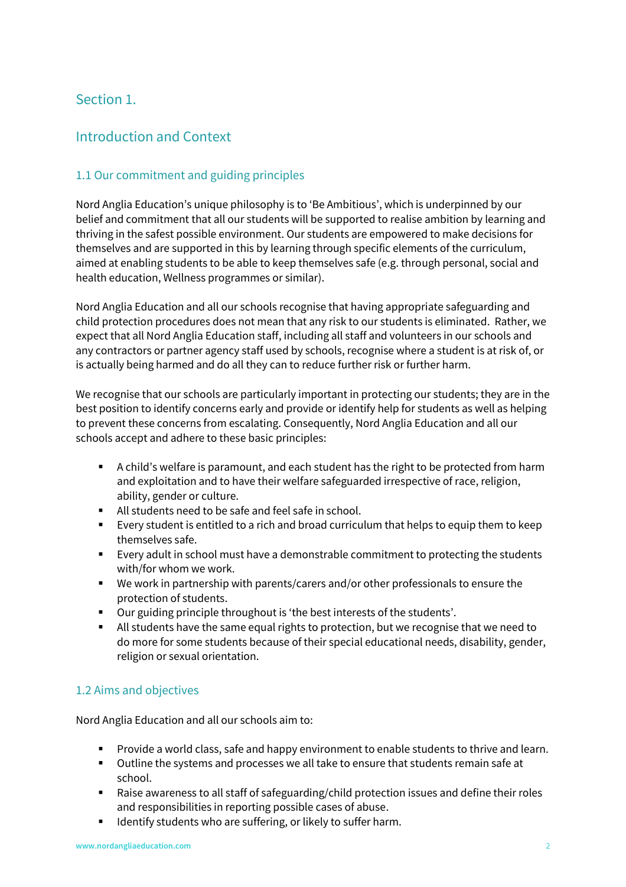## Section 1.

## Introduction and Context

## 1.1 Our commitment and guiding principles

Nord Anglia Education's unique philosophy is to 'Be Ambitious', which is underpinned by our belief and commitment that all our students will be supported to realise ambition by learning and thriving in the safest possible environment. Our students are empowered to make decisions for themselves and are supported in this by learning through specific elements of the curriculum, aimed at enabling students to be able to keep themselves safe (e.g. through personal, social and health education, Wellness programmes or similar).

Nord Anglia Education and all our schools recognise that having appropriate safeguarding and child protection procedures does not mean that any risk to our students is eliminated. Rather, we expect that all Nord Anglia Education staff, including all staff and volunteers in our schools and any contractors or partner agency staff used by schools, recognise where a student is at risk of, or is actually being harmed and do all they can to reduce further risk or further harm.

We recognise that our schools are particularly important in protecting our students; they are in the best position to identify concerns early and provide or identify help for students as well as helping to prevent these concerns from escalating. Consequently, Nord Anglia Education and all our schools accept and adhere to these basic principles:

- A child's welfare is paramount, and each student has the right to be protected from harm and exploitation and to have their welfare safeguarded irrespective of race, religion, ability, gender or culture.
- All students need to be safe and feel safe in school.
- Every student is entitled to a rich and broad curriculum that helps to equip them to keep themselves safe.
- Every adult in school must have a demonstrable commitment to protecting the students with/for whom we work.
- We work in partnership with parents/carers and/or other professionals to ensure the protection of students.
- Our guiding principle throughout is 'the best interests of the students'.
- All students have the same equal rights to protection, but we recognise that we need to do more for some students because of their special educational needs, disability, gender, religion or sexual orientation.

### 1.2 Aims and objectives

Nord Anglia Education and all our schools aim to:

- Provide a world class, safe and happy environment to enable students to thrive and learn.
- Outline the systems and processes we all take to ensure that students remain safe at school.
- Raise awareness to all staff of safeguarding/child protection issues and define their roles and responsibilities in reporting possible cases of abuse.
- Identify students who are suffering, or likely to suffer harm.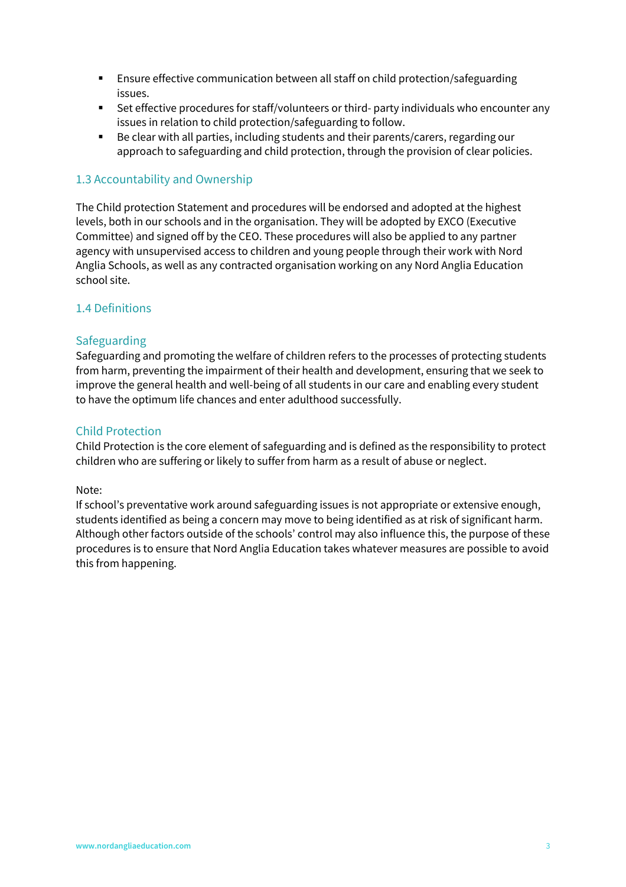- Ensure effective communication between all staff on child protection/safeguarding issues.
- Set effective procedures for staff/volunteers or third- party individuals who encounter any issues in relation to child protection/safeguarding to follow.
- Be clear with all parties, including students and their parents/carers, regarding our approach to safeguarding and child protection, through the provision of clear policies.

### 1.3 Accountability and Ownership

The Child protection Statement and procedures will be endorsed and adopted at the highest levels, both in our schools and in the organisation. They will be adopted by EXCO (Executive Committee) and signed off by the CEO. These procedures will also be applied to any partner agency with unsupervised access to children and young people through their work with Nord Anglia Schools, as well as any contracted organisation working on any Nord Anglia Education school site.

### 1.4 Definitions

### Safeguarding

Safeguarding and promoting the welfare of children refers to the processes of protecting students from harm, preventing the impairment of their health and development, ensuring that we seek to improve the general health and well-being of all students in our care and enabling every student to have the optimum life chances and enter adulthood successfully.

#### Child Protection

Child Protection is the core element of safeguarding and is defined as the responsibility to protect children who are suffering or likely to suffer from harm as a result of abuse or neglect.

#### Note:

If school's preventative work around safeguarding issues is not appropriate or extensive enough, students identified as being a concern may move to being identified as at risk of significant harm. Although other factors outside of the schools' control may also influence this, the purpose of these procedures is to ensure that Nord Anglia Education takes whatever measures are possible to avoid this from happening.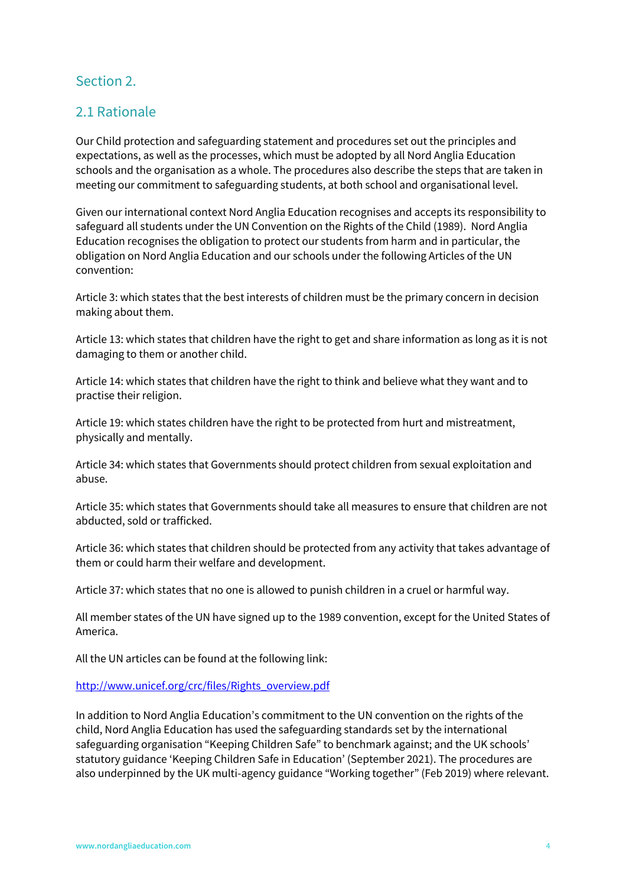## Section 2.

## 2.1 Rationale

Our Child protection and safeguarding statement and procedures set out the principles and expectations, as well as the processes, which must be adopted by all Nord Anglia Education schools and the organisation as a whole. The procedures also describe the steps that are taken in meeting our commitment to safeguarding students, at both school and organisational level.

Given our international context Nord Anglia Education recognises and accepts its responsibility to safeguard all students under the UN Convention on the Rights of the Child (1989). Nord Anglia Education recognises the obligation to protect our students from harm and in particular, the obligation on Nord Anglia Education and our schools under the following Articles of the UN convention:

Article 3: which states that the best interests of children must be the primary concern in decision making about them.

Article 13: which states that children have the right to get and share information as long as it is not damaging to them or another child.

Article 14: which states that children have the right to think and believe what they want and to practise their religion.

Article 19: which states children have the right to be protected from hurt and mistreatment, physically and mentally.

Article 34: which states that Governments should protect children from sexual exploitation and abuse.

Article 35: which states that Governments should take all measures to ensure that children are not abducted, sold or trafficked.

Article 36: which states that children should be protected from any activity that takes advantage of them or could harm their welfare and development.

Article 37: which states that no one is allowed to punish children in a cruel or harmful way.

All member states of the UN have signed up to the 1989 convention, except for the United States of America.

All the UN articles can be found at the following link:

[http://www.unicef.org/crc/files/Rights\\_overview.pdf](http://www.unicef.org/crc/files/Rights_overview.pdf)

In addition to Nord Anglia Education's commitment to the UN convention on the rights of the child, Nord Anglia Education has used the safeguarding standards set by the international safeguarding organisation "Keeping Children Safe" to benchmark against; and the UK schools' statutory guidance 'Keeping Children Safe in Education' (September 2021). The procedures are also underpinned by the UK multi-agency guidance "Working together" (Feb 2019) where relevant.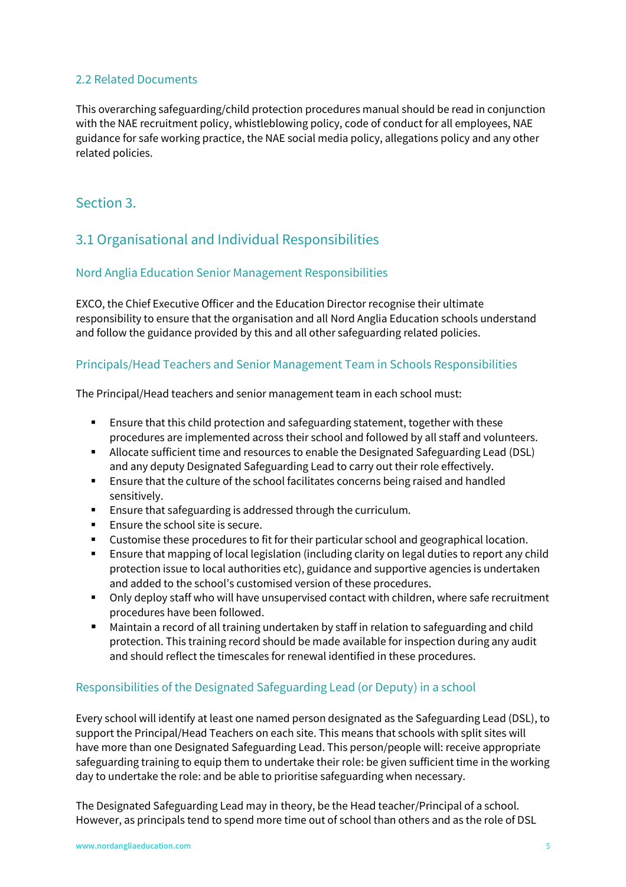### 2.2 Related Documents

This overarching safeguarding/child protection procedures manual should be read in conjunction with the NAE recruitment policy, whistleblowing policy, code of conduct for all employees, NAE guidance for safe working practice, the NAE social media policy, allegations policy and any other related policies.

## Section 3.

## 3.1 Organisational and Individual Responsibilities

### Nord Anglia Education Senior Management Responsibilities

EXCO, the Chief Executive Officer and the Education Director recognise their ultimate responsibility to ensure that the organisation and all Nord Anglia Education schools understand and follow the guidance provided by this and all other safeguarding related policies.

### Principals/Head Teachers and Senior Management Team in Schools Responsibilities

The Principal/Head teachers and senior management team in each school must:

- Ensure that this child protection and safeguarding statement, together with these procedures are implemented across their school and followed by all staff and volunteers.
- Allocate sufficient time and resources to enable the Designated Safeguarding Lead (DSL) and any deputy Designated Safeguarding Lead to carry out their role effectively.
- **Ensure that the culture of the school facilitates concerns being raised and handled** sensitively.
- Ensure that safeguarding is addressed through the curriculum.
- Ensure the school site is secure.
- Customise these procedures to fit for their particular school and geographical location.
- Ensure that mapping of local legislation (including clarity on legal duties to report any child protection issue to local authorities etc), guidance and supportive agencies is undertaken and added to the school's customised version of these procedures.
- Only deploy staff who will have unsupervised contact with children, where safe recruitment procedures have been followed.
- Maintain a record of all training undertaken by staff in relation to safeguarding and child protection. This training record should be made available for inspection during any audit and should reflect the timescales for renewal identified in these procedures.

### Responsibilities of the Designated Safeguarding Lead (or Deputy) in a school

Every school will identify at least one named person designated as the Safeguarding Lead (DSL), to support the Principal/Head Teachers on each site. This means that schools with split sites will have more than one Designated Safeguarding Lead. This person/people will: receive appropriate safeguarding training to equip them to undertake their role: be given sufficient time in the working day to undertake the role: and be able to prioritise safeguarding when necessary.

The Designated Safeguarding Lead may in theory, be the Head teacher/Principal of a school. However, as principals tend to spend more time out of school than others and as the role of DSL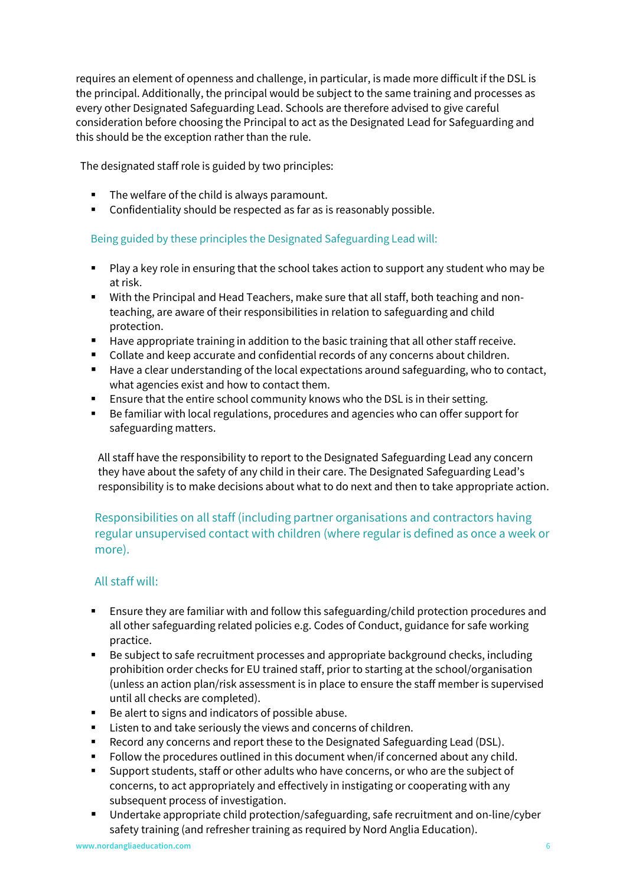requires an element of openness and challenge, in particular, is made more difficult if the DSL is the principal. Additionally, the principal would be subject to the same training and processes as every other Designated Safeguarding Lead. Schools are therefore advised to give careful consideration before choosing the Principal to act as the Designated Lead for Safeguarding and this should be the exception rather than the rule.

The designated staff role is guided by two principles:

- The welfare of the child is always paramount.
- Confidentiality should be respected as far as is reasonably possible.

### Being guided by these principles the Designated Safeguarding Lead will:

- Play a key role in ensuring that the school takes action to support any student who may be at risk.
- With the Principal and Head Teachers, make sure that all staff, both teaching and nonteaching, are aware of their responsibilities in relation to safeguarding and child protection.
- Have appropriate training in addition to the basic training that all other staff receive.
- Collate and keep accurate and confidential records of any concerns about children.
- Have a clear understanding of the local expectations around safeguarding, who to contact, what agencies exist and how to contact them.
- **E** Ensure that the entire school community knows who the DSL is in their setting.
- Be familiar with local regulations, procedures and agencies who can offer support for safeguarding matters.

All staff have the responsibility to report to the Designated Safeguarding Lead any concern they have about the safety of any child in their care. The Designated Safeguarding Lead's responsibility is to make decisions about what to do next and then to take appropriate action.

## Responsibilities on all staff (including partner organisations and contractors having regular unsupervised contact with children (where regular is defined as once a week or more).

### All staff will:

- Ensure they are familiar with and follow this safeguarding/child protection procedures and all other safeguarding related policies e.g. Codes of Conduct, guidance for safe working practice.
- Be subject to safe recruitment processes and appropriate background checks, including prohibition order checks for EU trained staff, prior to starting at the school/organisation (unless an action plan/risk assessment is in place to ensure the staff member is supervised until all checks are completed).
- Be alert to signs and indicators of possible abuse.
- Listen to and take seriously the views and concerns of children.
- Record any concerns and report these to the Designated Safeguarding Lead (DSL).
- Follow the procedures outlined in this document when/if concerned about any child.
- Support students, staff or other adults who have concerns, or who are the subject of concerns, to act appropriately and effectively in instigating or cooperating with any subsequent process of investigation.
- Undertake appropriate child protection/safeguarding, safe recruitment and on-line/cyber safety training (and refresher training as required by Nord Anglia Education).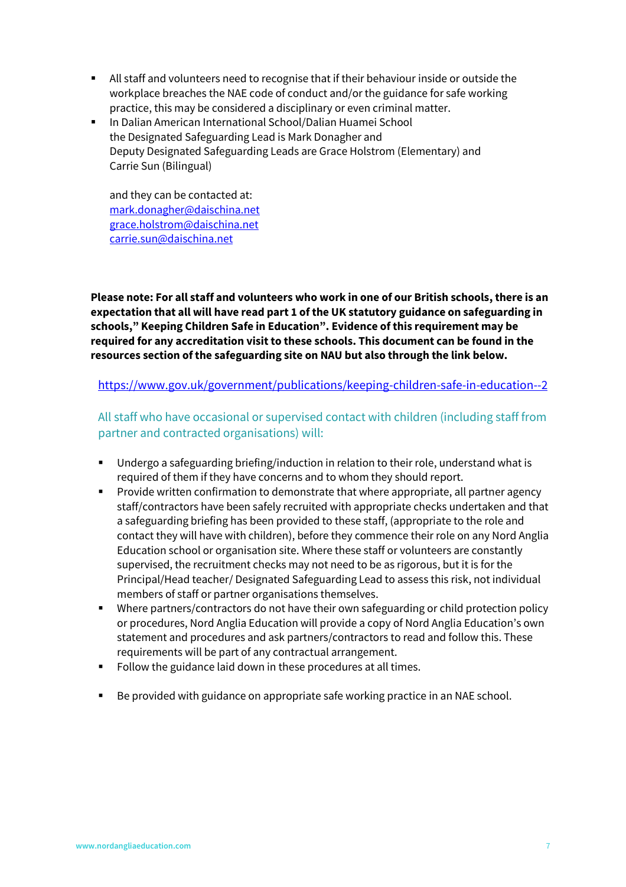- All staff and volunteers need to recognise that if their behaviour inside or outside the workplace breaches the NAE code of conduct and/or the guidance for safe working practice, this may be considered a disciplinary or even criminal matter.
- In Dalian American International School/Dalian Huamei School the Designated Safeguarding Lead is Mark Donagher and Deputy Designated Safeguarding Leads are Grace Holstrom (Elementary) and Carrie Sun (Bilingual)

and they can be contacted at: [mark.donagher@daischina.net](mailto:mark.donagher@daischina.net) [grace.holstrom@daischina.net](mailto:grace.holstrom@daischina.net) [carrie.sun@daischina.net](mailto:carrie.sun@daischina.net)

**Please note: For all staff and volunteers who work in one of our British schools, there is an expectation that all will have read part 1 of the UK statutory guidance on safeguarding in schools," Keeping Children Safe in Education". Evidence of this requirement may be required for any accreditation visit to these schools. This document can be found in the resources section of the safeguarding site on NAU but also through the link below.**

<https://www.gov.uk/government/publications/keeping-children-safe-in-education--2>

All staff who have occasional or supervised contact with children (including staff from partner and contracted organisations) will:

- Undergo a safeguarding briefing/induction in relation to their role, understand what is required of them if they have concerns and to whom they should report.
- Provide written confirmation to demonstrate that where appropriate, all partner agency staff/contractors have been safely recruited with appropriate checks undertaken and that a safeguarding briefing has been provided to these staff, (appropriate to the role and contact they will have with children), before they commence their role on any Nord Anglia Education school or organisation site. Where these staff or volunteers are constantly supervised, the recruitment checks may not need to be as rigorous, but it is for the Principal/Head teacher/ Designated Safeguarding Lead to assess this risk, not individual members of staff or partner organisations themselves.
- Where partners/contractors do not have their own safeguarding or child protection policy or procedures, Nord Anglia Education will provide a copy of Nord Anglia Education's own statement and procedures and ask partners/contractors to read and follow this. These requirements will be part of any contractual arrangement.
- Follow the guidance laid down in these procedures at all times.
- Be provided with guidance on appropriate safe working practice in an NAE school.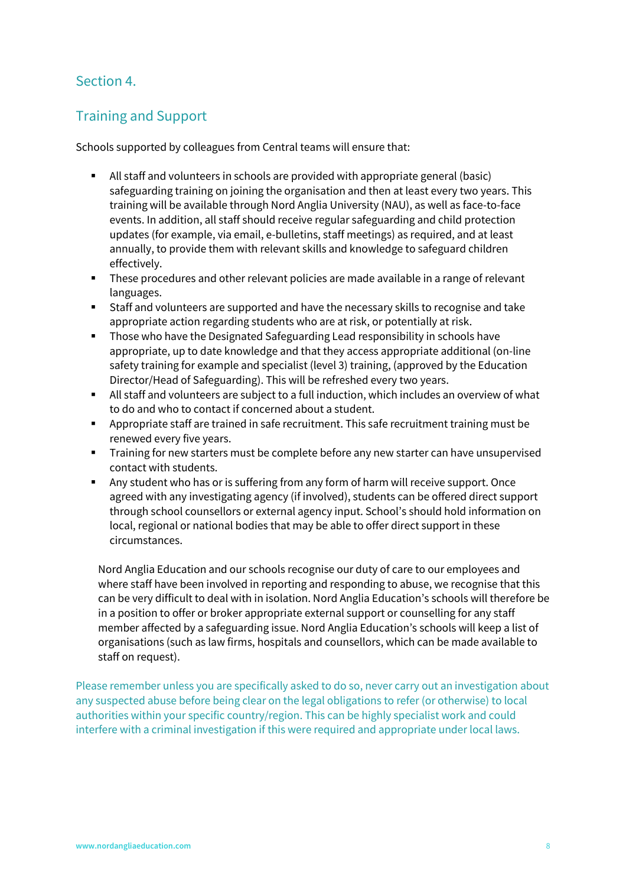## Section 4.

## Training and Support

Schools supported by colleagues from Central teams will ensure that:

- All staff and volunteers in schools are provided with appropriate general (basic) safeguarding training on joining the organisation and then at least every two years. This training will be available through Nord Anglia University (NAU), as well as face-to-face events. In addition, all staff should receive regular safeguarding and child protection updates (for example, via email, e-bulletins, staff meetings) as required, and at least annually, to provide them with relevant skills and knowledge to safeguard children effectively.
- **•** These procedures and other relevant policies are made available in a range of relevant languages.
- Staff and volunteers are supported and have the necessary skills to recognise and take appropriate action regarding students who are at risk, or potentially at risk.
- **•** Those who have the Designated Safeguarding Lead responsibility in schools have appropriate, up to date knowledge and that they access appropriate additional (on-line safety training for example and specialist (level 3) training, (approved by the Education Director/Head of Safeguarding). This will be refreshed every two years.
- All staff and volunteers are subject to a full induction, which includes an overview of what to do and who to contact if concerned about a student.
- Appropriate staff are trained in safe recruitment. This safe recruitment training must be renewed every five years.
- **•** Training for new starters must be complete before any new starter can have unsupervised contact with students.
- Any student who has or is suffering from any form of harm will receive support. Once agreed with any investigating agency (if involved), students can be offered direct support through school counsellors or external agency input. School's should hold information on local, regional or national bodies that may be able to offer direct support in these circumstances.

Nord Anglia Education and our schools recognise our duty of care to our employees and where staff have been involved in reporting and responding to abuse, we recognise that this can be very difficult to deal with in isolation. Nord Anglia Education's schools will therefore be in a position to offer or broker appropriate external support or counselling for any staff member affected by a safeguarding issue. Nord Anglia Education's schools will keep a list of organisations (such as law firms, hospitals and counsellors, which can be made available to staff on request).

Please remember unless you are specifically asked to do so, never carry out an investigation about any suspected abuse before being clear on the legal obligations to refer (or otherwise) to local authorities within your specific country/region. This can be highly specialist work and could interfere with a criminal investigation if this were required and appropriate under local laws.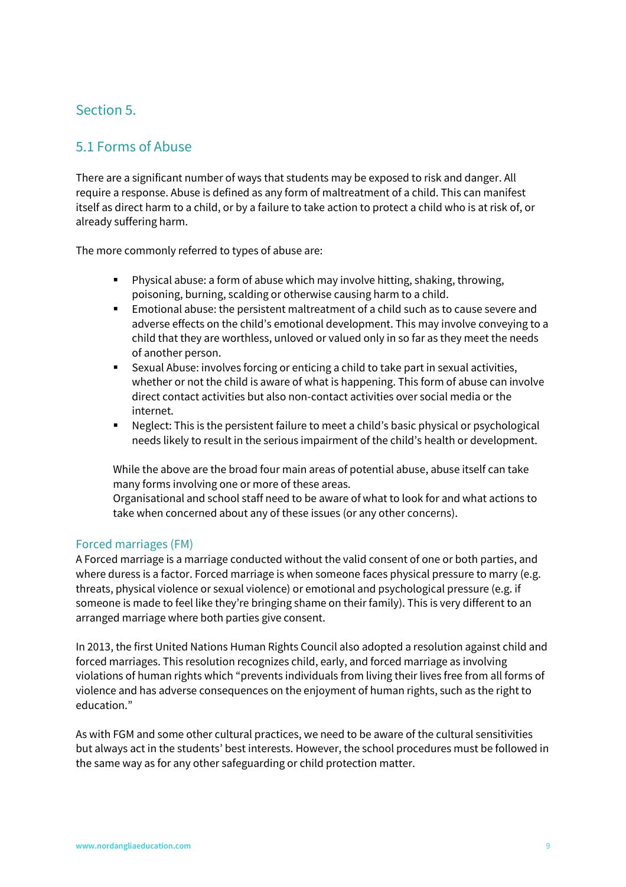## Section 5.

## 5.1 Forms of Abuse

There are a significant number of ways that students may be exposed to risk and danger. All require a response. Abuse is defined as any form of maltreatment of a child. This can manifest itself as direct harm to a child, or by a failure to take action to protect a child who is at risk of, or already suffering harm.

The more commonly referred to types of abuse are:

- Physical abuse: a form of abuse which may involve hitting, shaking, throwing, poisoning, burning, scalding or otherwise causing harm to a child.
- Emotional abuse: the persistent maltreatment of a child such as to cause severe and adverse effects on the child's emotional development. This may involve conveying to a child that they are worthless, unloved or valued only in so far as they meet the needs of another person.
- **E** Sexual Abuse: involves forcing or enticing a child to take part in sexual activities, whether or not the child is aware of what is happening. This form of abuse can involve direct contact activities but also non-contact activities over social media or the internet.
- Neglect: This is the persistent failure to meet a child's basic physical or psychological needs likely to result in the serious impairment of the child's health or development.

While the above are the broad four main areas of potential abuse, abuse itself can take many forms involving one or more of these areas.

Organisational and school staff need to be aware of what to look for and what actions to take when concerned about any of these issues (or any other concerns).

#### Forced marriages (FM)

A Forced marriage is a marriage conducted without the valid consent of one or both parties, and where duress is a factor. Forced marriage is when someone faces physical pressure to marry (e.g. threats, physical violence or sexual violence) or emotional and psychological pressure (e.g. if someone is made to feel like they're bringing shame on their family). This is very different to an arranged marriage where both parties give consent.

In 2013, the first United Nations Human Rights Council also adopted a resolution against child and forced marriages. This resolution recognizes child, early, and forced marriage as involving violations of human rights which "prevents individuals from living their lives free from all forms of violence and has adverse consequences on the enjoyment of human rights, such as the right to education."

As with FGM and some other cultural practices, we need to be aware of the cultural sensitivities but always act in the students' best interests. However, the school procedures must be followed in the same way as for any other safeguarding or child protection matter.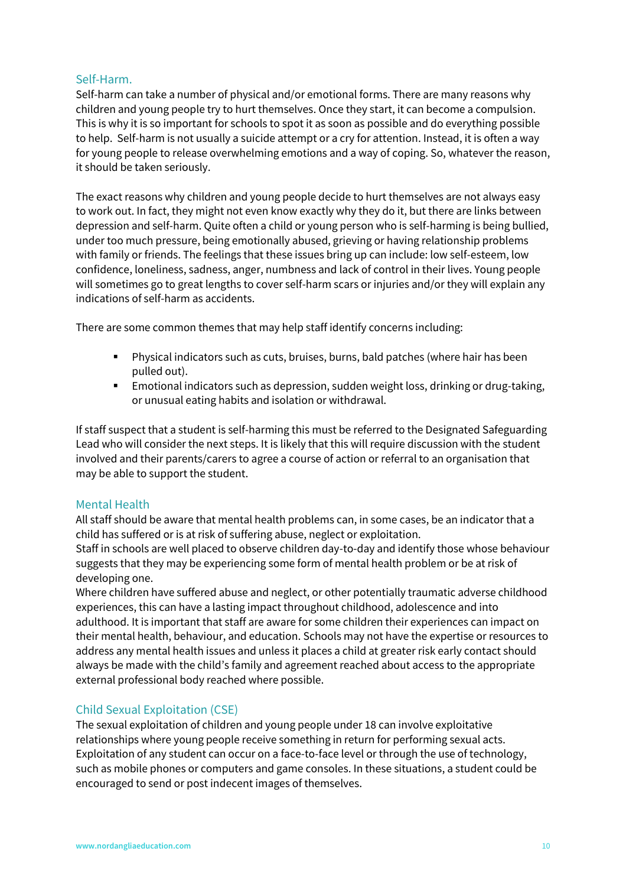#### Self-Harm.

Self-harm can take a number of physical and/or emotional forms. There are many reasons why children and young people try to hurt themselves. Once they start, it can become a compulsion. This is why it is so important for schools to spot it as soon as possible and do everything possible to help. Self-harm is not usually a suicide attempt or a cry for attention. Instead, it is often a way for young people to release overwhelming emotions and a way of coping. So, whatever the reason, it should be taken seriously.

The exact reasons why children and young people decide to hurt themselves are not always easy to work out. In fact, they might not even know exactly why they do it, but there are links between depression and self-harm. Quite often a child or young person who is self-harming is being bullied, under too much pressure, being emotionally abused, grieving or having relationship problems with family or friends. The feelings that these issues bring up can include: low self-esteem, low confidence, loneliness, sadness, anger, numbness and lack of control in their lives. Young people will sometimes go to great lengths to cover self-harm scars or injuries and/or they will explain any indications of self-harm as accidents.

There are some common themes that may help staff identify concerns including:

- Physical indicators such as cuts, bruises, burns, bald patches (where hair has been pulled out).
- **Emotional indicators such as depression, sudden weight loss, drinking or drug-taking,** or unusual eating habits and isolation or withdrawal.

If staff suspect that a student is self-harming this must be referred to the Designated Safeguarding Lead who will consider the next steps. It is likely that this will require discussion with the student involved and their parents/carers to agree a course of action or referral to an organisation that may be able to support the student.

#### Mental Health

All staff should be aware that mental health problems can, in some cases, be an indicator that a child has suffered or is at risk of suffering abuse, neglect or exploitation.

Staff in schools are well placed to observe children day-to-day and identify those whose behaviour suggests that they may be experiencing some form of mental health problem or be at risk of developing one.

Where children have suffered abuse and neglect, or other potentially traumatic adverse childhood experiences, this can have a lasting impact throughout childhood, adolescence and into adulthood. It is important that staff are aware for some children their experiences can impact on their mental health, behaviour, and education. Schools may not have the expertise or resources to address any mental health issues and unless it places a child at greater risk early contact should always be made with the child's family and agreement reached about access to the appropriate external professional body reached where possible.

#### Child Sexual Exploitation (CSE)

The sexual exploitation of children and young people under 18 can involve exploitative relationships where young people receive something in return for performing sexual acts. Exploitation of any student can occur on a face-to-face level or through the use of technology, such as mobile phones or computers and game consoles. In these situations, a student could be encouraged to send or post indecent images of themselves.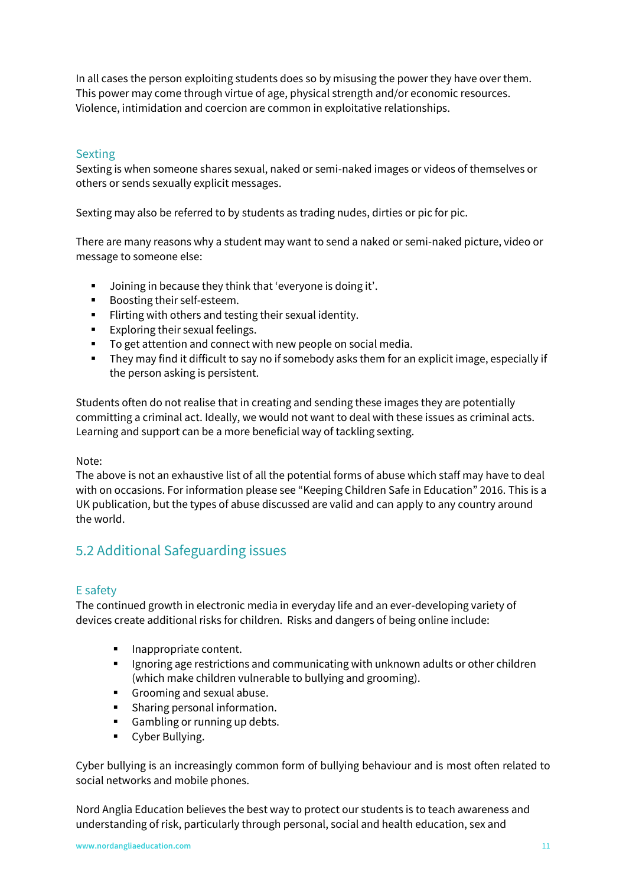In all cases the person exploiting students does so by misusing the power they have over them. This power may come through virtue of age, physical strength and/or economic resources. Violence, intimidation and coercion are common in exploitative relationships.

### Sexting

Sexting is when someone shares sexual, naked or semi-naked images or videos of themselves or others or sends sexually explicit messages.

Sexting may also be referred to by students as trading nudes, dirties or pic for pic.

There are many reasons why a student may want to send a naked or semi-naked picture, video or message to someone else:

- Joining in because they think that 'everyone is doing it'.
- Boosting their self-esteem.
- Flirting with others and testing their sexual identity.
- Exploring their sexual feelings.
- To get attention and connect with new people on social media.
- They may find it difficult to say no if somebody asks them for an explicit image, especially if the person asking is persistent.

Students often do not realise that in creating and sending these images they are potentially committing a criminal act. Ideally, we would not want to deal with these issues as criminal acts. Learning and support can be a more beneficial way of tackling sexting.

#### Note:

The above is not an exhaustive list of all the potential forms of abuse which staff may have to deal with on occasions. For information please see "Keeping Children Safe in Education" 2016. This is a UK publication, but the types of abuse discussed are valid and can apply to any country around the world.

## 5.2 Additional Safeguarding issues

#### E safety

The continued growth in electronic media in everyday life and an ever-developing variety of devices create additional risks for children. Risks and dangers of being online include:

- Inappropriate content.
- Ignoring age restrictions and communicating with unknown adults or other children (which make children vulnerable to bullying and grooming).
- Grooming and sexual abuse.
- Sharing personal information.
- Gambling or running up debts.
- Cyber Bullying.

Cyber bullying is an increasingly common form of bullying behaviour and is most often related to social networks and mobile phones.

Nord Anglia Education believes the best way to protect our students is to teach awareness and understanding of risk, particularly through personal, social and health education, sex and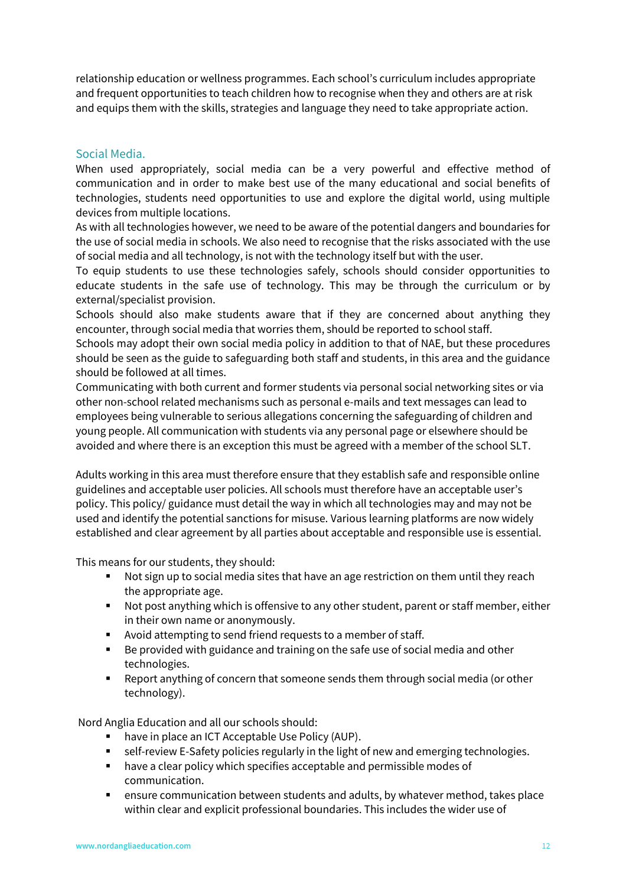relationship education or wellness programmes. Each school's curriculum includes appropriate and frequent opportunities to teach children how to recognise when they and others are at risk and equips them with the skills, strategies and language they need to take appropriate action.

#### Social Media.

When used appropriately, social media can be a very powerful and effective method of communication and in order to make best use of the many educational and social benefits of technologies, students need opportunities to use and explore the digital world, using multiple devices from multiple locations.

As with all technologies however, we need to be aware of the potential dangers and boundaries for the use of social media in schools. We also need to recognise that the risks associated with the use of social media and all technology, is not with the technology itself but with the user.

To equip students to use these technologies safely, schools should consider opportunities to educate students in the safe use of technology. This may be through the curriculum or by external/specialist provision.

Schools should also make students aware that if they are concerned about anything they encounter, through social media that worries them, should be reported to school staff.

Schools may adopt their own social media policy in addition to that of NAE, but these procedures should be seen as the guide to safeguarding both staff and students, in this area and the guidance should be followed at all times.

Communicating with both current and former students via personal social networking sites or via other non-school related mechanisms such as personal e-mails and text messages can lead to employees being vulnerable to serious allegations concerning the safeguarding of children and young people. All communication with students via any personal page or elsewhere should be avoided and where there is an exception this must be agreed with a member of the school SLT.

Adults working in this area must therefore ensure that they establish safe and responsible online guidelines and acceptable user policies. All schools must therefore have an acceptable user's policy. This policy/ guidance must detail the way in which all technologies may and may not be used and identify the potential sanctions for misuse. Various learning platforms are now widely established and clear agreement by all parties about acceptable and responsible use is essential.

This means for our students, they should:

- Not sign up to social media sites that have an age restriction on them until they reach the appropriate age.
- Not post anything which is offensive to any other student, parent or staff member, either in their own name or anonymously.
- Avoid attempting to send friend requests to a member of staff.
- Be provided with guidance and training on the safe use of social media and other technologies.
- Report anything of concern that someone sends them through social media (or other technology).

Nord Anglia Education and all our schools should:

- have in place an ICT Acceptable Use Policy (AUP).
- self-review E-Safety policies regularly in the light of new and emerging technologies.
- have a clear policy which specifies acceptable and permissible modes of communication.
- ensure communication between students and adults, by whatever method, takes place within clear and explicit professional boundaries. This includes the wider use of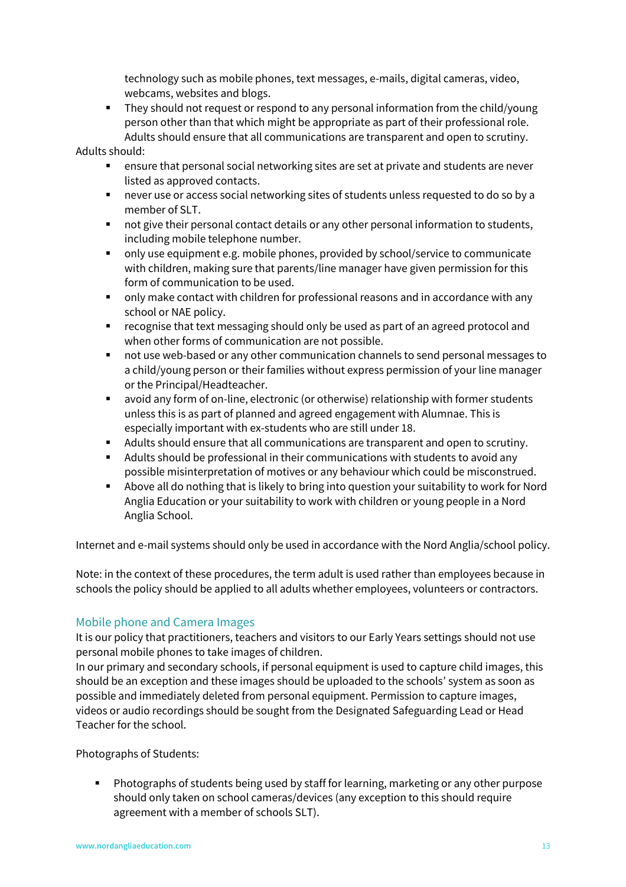technology such as mobile phones, text messages, e-mails, digital cameras, video, webcams, websites and blogs.

■ They should not request or respond to any personal information from the child/young person other than that which might be appropriate as part of their professional role. Adults should ensure that all communications are transparent and open to scrutiny.

Adults should:

- ensure that personal social networking sites are set at private and students are never listed as approved contacts.
- never use or access social networking sites of students unless requested to do so by a member of SLT.
- not give their personal contact details or any other personal information to students, including mobile telephone number.
- only use equipment e.g. mobile phones, provided by school/service to communicate with children, making sure that parents/line manager have given permission for this form of communication to be used.
- only make contact with children for professional reasons and in accordance with any school or NAE policy.
- recognise that text messaging should only be used as part of an agreed protocol and when other forms of communication are not possible.
- not use web-based or any other communication channels to send personal messages to a child/young person or their families without express permission of your line manager or the Principal/Headteacher.
- avoid any form of on-line, electronic (or otherwise) relationship with former students unless this is as part of planned and agreed engagement with Alumnae. This is especially important with ex-students who are still under 18.
- Adults should ensure that all communications are transparent and open to scrutiny.
- Adults should be professional in their communications with students to avoid any possible misinterpretation of motives or any behaviour which could be misconstrued.
- Above all do nothing that is likely to bring into question your suitability to work for Nord Anglia Education or your suitability to work with children or young people in a Nord Anglia School.

Internet and e-mail systems should only be used in accordance with the Nord Anglia/school policy.

Note: in the context of these procedures, the term adult is used rather than employees because in schools the policy should be applied to all adults whether employees, volunteers or contractors.

#### Mobile phone and Camera Images

It is our policy that practitioners, teachers and visitors to our Early Years settings should not use personal mobile phones to take images of children.

In our primary and secondary schools, if personal equipment is used to capture child images, this should be an exception and these images should be uploaded to the schools' system as soon as possible and immediately deleted from personal equipment. Permission to capture images, videos or audio recordings should be sought from the Designated Safeguarding Lead or Head Teacher for the school.

Photographs of Students:

■ Photographs of students being used by staff for learning, marketing or any other purpose should only taken on school cameras/devices (any exception to this should require agreement with a member of schools SLT).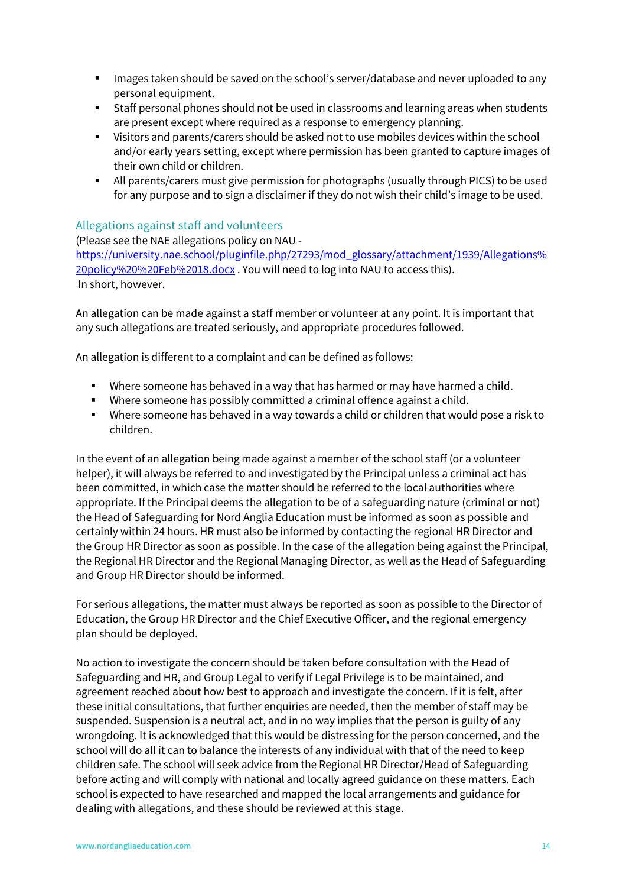- Images taken should be saved on the school's server/database and never uploaded to any personal equipment.
- Staff personal phones should not be used in classrooms and learning areas when students are present except where required as a response to emergency planning.
- Visitors and parents/carers should be asked not to use mobiles devices within the school and/or early years setting, except where permission has been granted to capture images of their own child or children.
- All parents/carers must give permission for photographs (usually through PICS) to be used for any purpose and to sign a disclaimer if they do not wish their child's image to be used.

#### Allegations against staff and volunteers

(Please see the NAE allegations policy on NAU [https://university.nae.school/pluginfile.php/27293/mod\\_glossary/attachment/1939/Allegations%](https://university.nae.school/pluginfile.php/27293/mod_glossary/attachment/1939/Allegations%20policy%20%20Feb%2018.docx) [20policy%20%20Feb%2018.docx](https://university.nae.school/pluginfile.php/27293/mod_glossary/attachment/1939/Allegations%20policy%20%20Feb%2018.docx). You will need to log into NAU to access this). In short, however.

An allegation can be made against a staff member or volunteer at any point. It is important that any such allegations are treated seriously, and appropriate procedures followed.

An allegation is different to a complaint and can be defined as follows:

- Where someone has behaved in a way that has harmed or may have harmed a child.
- Where someone has possibly committed a criminal offence against a child.
- Where someone has behaved in a way towards a child or children that would pose a risk to children.

In the event of an allegation being made against a member of the school staff (or a volunteer helper), it will always be referred to and investigated by the Principal unless a criminal act has been committed, in which case the matter should be referred to the local authorities where appropriate. If the Principal deems the allegation to be of a safeguarding nature (criminal or not) the Head of Safeguarding for Nord Anglia Education must be informed as soon as possible and certainly within 24 hours. HR must also be informed by contacting the regional HR Director and the Group HR Director as soon as possible. In the case of the allegation being against the Principal, the Regional HR Director and the Regional Managing Director, as well as the Head of Safeguarding and Group HR Director should be informed.

For serious allegations, the matter must always be reported as soon as possible to the Director of Education, the Group HR Director and the Chief Executive Officer, and the regional emergency plan should be deployed.

No action to investigate the concern should be taken before consultation with the Head of Safeguarding and HR, and Group Legal to verify if Legal Privilege is to be maintained, and agreement reached about how best to approach and investigate the concern. If it is felt, after these initial consultations, that further enquiries are needed, then the member of staff may be suspended. Suspension is a neutral act, and in no way implies that the person is guilty of any wrongdoing. It is acknowledged that this would be distressing for the person concerned, and the school will do all it can to balance the interests of any individual with that of the need to keep children safe. The school will seek advice from the Regional HR Director/Head of Safeguarding before acting and will comply with national and locally agreed guidance on these matters. Each school is expected to have researched and mapped the local arrangements and guidance for dealing with allegations, and these should be reviewed at this stage.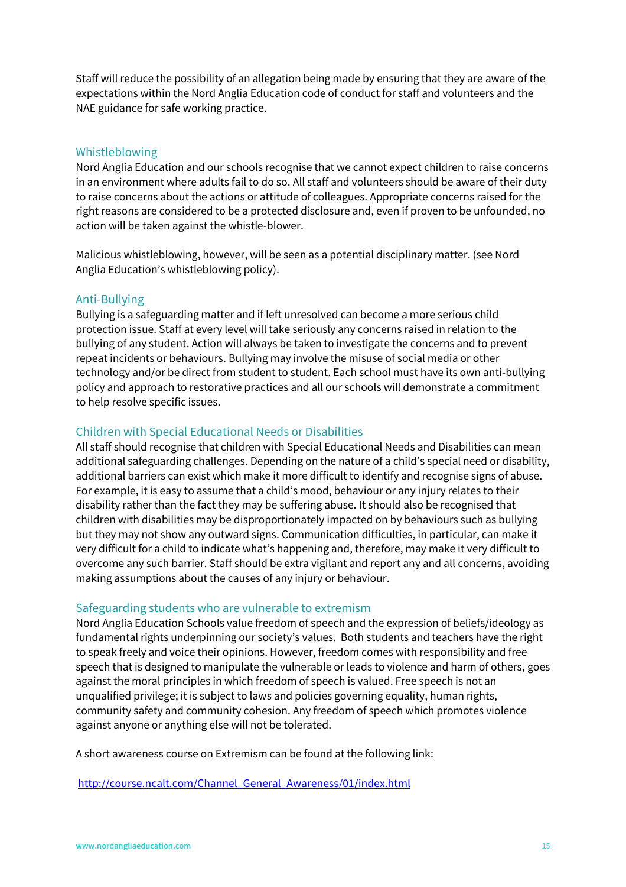Staff will reduce the possibility of an allegation being made by ensuring that they are aware of the expectations within the Nord Anglia Education code of conduct for staff and volunteers and the NAE guidance for safe working practice.

#### Whistleblowing

Nord Anglia Education and our schools recognise that we cannot expect children to raise concerns in an environment where adults fail to do so. All staff and volunteers should be aware of their duty to raise concerns about the actions or attitude of colleagues. Appropriate concerns raised for the right reasons are considered to be a protected disclosure and, even if proven to be unfounded, no action will be taken against the whistle-blower.

Malicious whistleblowing, however, will be seen as a potential disciplinary matter. (see Nord Anglia Education's whistleblowing policy).

### Anti-Bullying

Bullying is a safeguarding matter and if left unresolved can become a more serious child protection issue. Staff at every level will take seriously any concerns raised in relation to the bullying of any student. Action will always be taken to investigate the concerns and to prevent repeat incidents or behaviours. Bullying may involve the misuse of social media or other technology and/or be direct from student to student. Each school must have its own anti-bullying policy and approach to restorative practices and all our schools will demonstrate a commitment to help resolve specific issues.

### Children with Special Educational Needs or Disabilities

All staff should recognise that children with Special Educational Needs and Disabilities can mean additional safeguarding challenges. Depending on the nature of a child's special need or disability, additional barriers can exist which make it more difficult to identify and recognise signs of abuse. For example, it is easy to assume that a child's mood, behaviour or any injury relates to their disability rather than the fact they may be suffering abuse. It should also be recognised that children with disabilities may be disproportionately impacted on by behaviours such as bullying but they may not show any outward signs. Communication difficulties, in particular, can make it very difficult for a child to indicate what's happening and, therefore, may make it very difficult to overcome any such barrier. Staff should be extra vigilant and report any and all concerns, avoiding making assumptions about the causes of any injury or behaviour.

#### Safeguarding students who are vulnerable to extremism

Nord Anglia Education Schools value freedom of speech and the expression of beliefs/ideology as fundamental rights underpinning our society's values. Both students and teachers have the right to speak freely and voice their opinions. However, freedom comes with responsibility and free speech that is designed to manipulate the vulnerable or leads to violence and harm of others, goes against the moral principles in which freedom of speech is valued. Free speech is not an unqualified privilege; it is subject to laws and policies governing equality, human rights, community safety and community cohesion. Any freedom of speech which promotes violence against anyone or anything else will not be tolerated.

A short awareness course on Extremism can be found at the following link:

[http://course.ncalt.com/Channel\\_General\\_Awareness/01/index.html](http://course.ncalt.com/Channel_General_Awareness/01/index.html)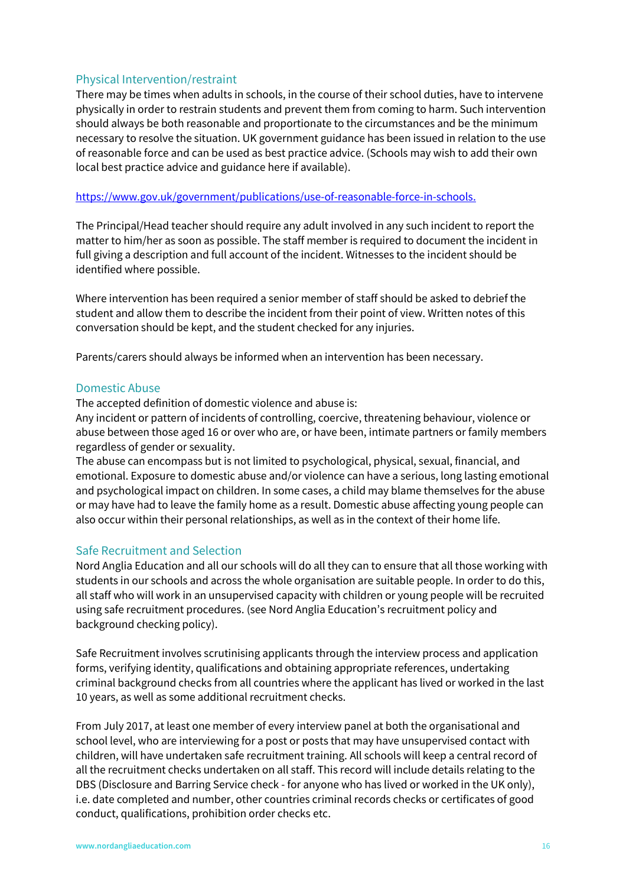#### Physical Intervention/restraint

There may be times when adults in schools, in the course of their school duties, have to intervene physically in order to restrain students and prevent them from coming to harm. Such intervention should always be both reasonable and proportionate to the circumstances and be the minimum necessary to resolve the situation. UK government guidance has been issued in relation to the use of reasonable force and can be used as best practice advice. (Schools may wish to add their own local best practice advice and guidance here if available).

[https://www.gov.uk/government/publications/use-of-reasonable-force-in-schools.](https://www.gov.uk/government/publications/use-of-reasonable-force-in-schools)

The Principal/Head teacher should require any adult involved in any such incident to report the matter to him/her as soon as possible. The staff member is required to document the incident in full giving a description and full account of the incident. Witnesses to the incident should be identified where possible.

Where intervention has been required a senior member of staff should be asked to debrief the student and allow them to describe the incident from their point of view. Written notes of this conversation should be kept, and the student checked for any injuries.

Parents/carers should always be informed when an intervention has been necessary.

#### Domestic Abuse

The accepted definition of domestic violence and abuse is:

Any incident or pattern of incidents of controlling, coercive, threatening behaviour, violence or abuse between those aged 16 or over who are, or have been, intimate partners or family members regardless of gender or sexuality.

The abuse can encompass but is not limited to psychological, physical, sexual, financial, and emotional. Exposure to domestic abuse and/or violence can have a serious, long lasting emotional and psychological impact on children. In some cases, a child may blame themselves for the abuse or may have had to leave the family home as a result. Domestic abuse affecting young people can also occur within their personal relationships, as well as in the context of their home life.

#### Safe Recruitment and Selection

Nord Anglia Education and all our schools will do all they can to ensure that all those working with students in our schools and across the whole organisation are suitable people. In order to do this, all staff who will work in an unsupervised capacity with children or young people will be recruited using safe recruitment procedures. (see Nord Anglia Education's recruitment policy and background checking policy).

Safe Recruitment involves scrutinising applicants through the interview process and application forms, verifying identity, qualifications and obtaining appropriate references, undertaking criminal background checks from all countries where the applicant has lived or worked in the last 10 years, as well as some additional recruitment checks.

From July 2017, at least one member of every interview panel at both the organisational and school level, who are interviewing for a post or posts that may have unsupervised contact with children, will have undertaken safe recruitment training. All schools will keep a central record of all the recruitment checks undertaken on all staff. This record will include details relating to the DBS (Disclosure and Barring Service check - for anyone who has lived or worked in the UK only), i.e. date completed and number, other countries criminal records checks or certificates of good conduct, qualifications, prohibition order checks etc.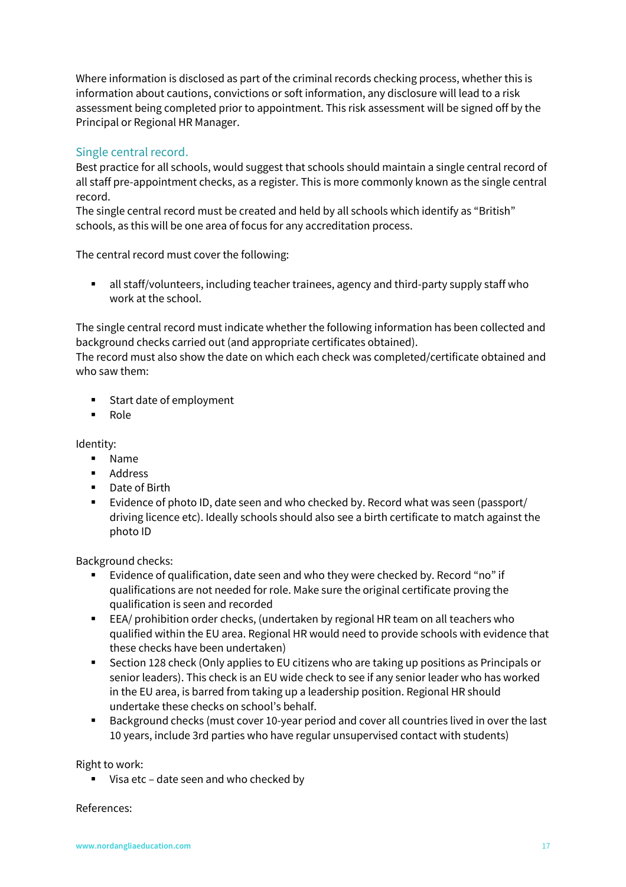Where information is disclosed as part of the criminal records checking process, whether this is information about cautions, convictions or soft information, any disclosure will lead to a risk assessment being completed prior to appointment. This risk assessment will be signed off by the Principal or Regional HR Manager.

## Single central record.

Best practice for all schools, would suggest that schools should maintain a single central record of all staff pre-appointment checks, as a register. This is more commonly known as the single central record.

The single central record must be created and held by all schools which identify as "British" schools, as this will be one area of focus for any accreditation process.

The central record must cover the following:

**E** all staff/volunteers, including teacher trainees, agency and third-party supply staff who work at the school.

The single central record must indicate whether the following information has been collected and background checks carried out (and appropriate certificates obtained).

The record must also show the date on which each check was completed/certificate obtained and who saw them:

- Start date of employment
- Role

Identity:

- Name
- Address
- Date of Birth
- Evidence of photo ID, date seen and who checked by. Record what was seen (passport/ driving licence etc). Ideally schools should also see a birth certificate to match against the photo ID

Background checks:

- Evidence of qualification, date seen and who they were checked by. Record "no" if qualifications are not needed for role. Make sure the original certificate proving the qualification is seen and recorded
- EEA/ prohibition order checks, (undertaken by regional HR team on all teachers who qualified within the EU area. Regional HR would need to provide schools with evidence that these checks have been undertaken)
- Section 128 check (Only applies to EU citizens who are taking up positions as Principals or senior leaders). This check is an EU wide check to see if any senior leader who has worked in the EU area, is barred from taking up a leadership position. Regional HR should undertake these checks on school's behalf.
- Background checks (must cover 10-year period and cover all countries lived in over the last 10 years, include 3rd parties who have regular unsupervised contact with students)

Right to work:

■ Visa etc – date seen and who checked by

#### References: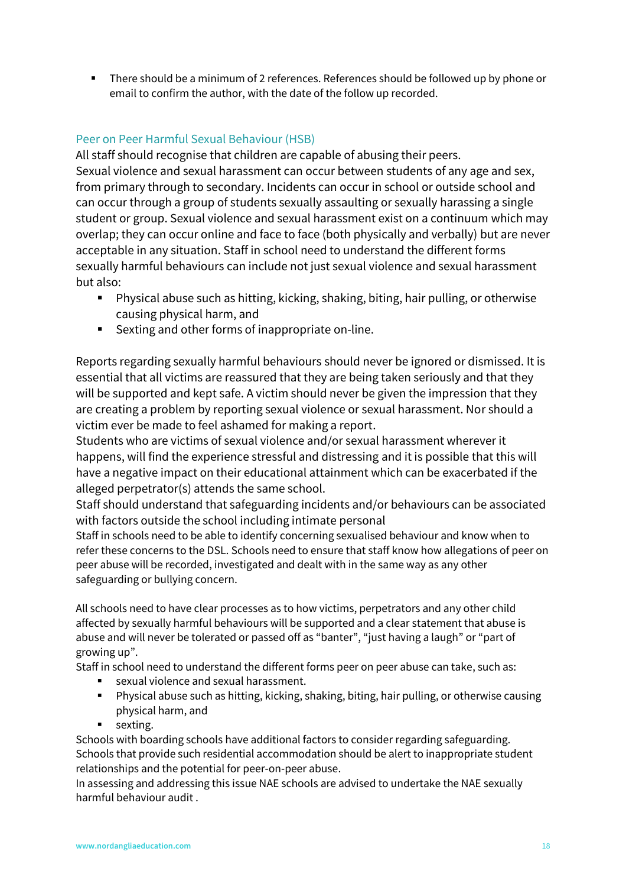▪ There should be a minimum of 2 references. References should be followed up by phone or email to confirm the author, with the date of the follow up recorded.

## Peer on Peer Harmful Sexual Behaviour (HSB)

All staff should recognise that children are capable of abusing their peers. Sexual violence and sexual harassment can occur between students of any age and sex, from primary through to secondary. Incidents can occur in school or outside school and can occur through a group of students sexually assaulting or sexually harassing a single student or group. Sexual violence and sexual harassment exist on a continuum which may overlap; they can occur online and face to face (both physically and verbally) but are never acceptable in any situation. Staff in school need to understand the different forms sexually harmful behaviours can include not just sexual violence and sexual harassment but also:

- Physical abuse such as hitting, kicking, shaking, biting, hair pulling, or otherwise causing physical harm, and
- Sexting and other forms of inappropriate on-line.

Reports regarding sexually harmful behaviours should never be ignored or dismissed. It is essential that all victims are reassured that they are being taken seriously and that they will be supported and kept safe. A victim should never be given the impression that they are creating a problem by reporting sexual violence or sexual harassment. Nor should a victim ever be made to feel ashamed for making a report.

Students who are victims of sexual violence and/or sexual harassment wherever it happens, will find the experience stressful and distressing and it is possible that this will have a negative impact on their educational attainment which can be exacerbated if the alleged perpetrator(s) attends the same school.

Staff should understand that safeguarding incidents and/or behaviours can be associated with factors outside the school including intimate personal

Staff in schools need to be able to identify concerning sexualised behaviour and know when to refer these concerns to the DSL. Schools need to ensure that staff know how allegations of peer on peer abuse will be recorded, investigated and dealt with in the same way as any other safeguarding or bullying concern.

All schools need to have clear processes as to how victims, perpetrators and any other child affected by sexually harmful behaviours will be supported and a clear statement that abuse is abuse and will never be tolerated or passed off as "banter", "just having a laugh" or "part of growing up".

Staff in school need to understand the different forms peer on peer abuse can take, such as:

- sexual violence and sexual harassment.
- Physical abuse such as hitting, kicking, shaking, biting, hair pulling, or otherwise causing physical harm, and
- sexting.

Schools with boarding schools have additional factors to consider regarding safeguarding. Schools that provide such residential accommodation should be alert to inappropriate student relationships and the potential for peer-on-peer abuse.

In assessing and addressing this issue NAE schools are advised to undertake the NAE sexually harmful behaviour audit .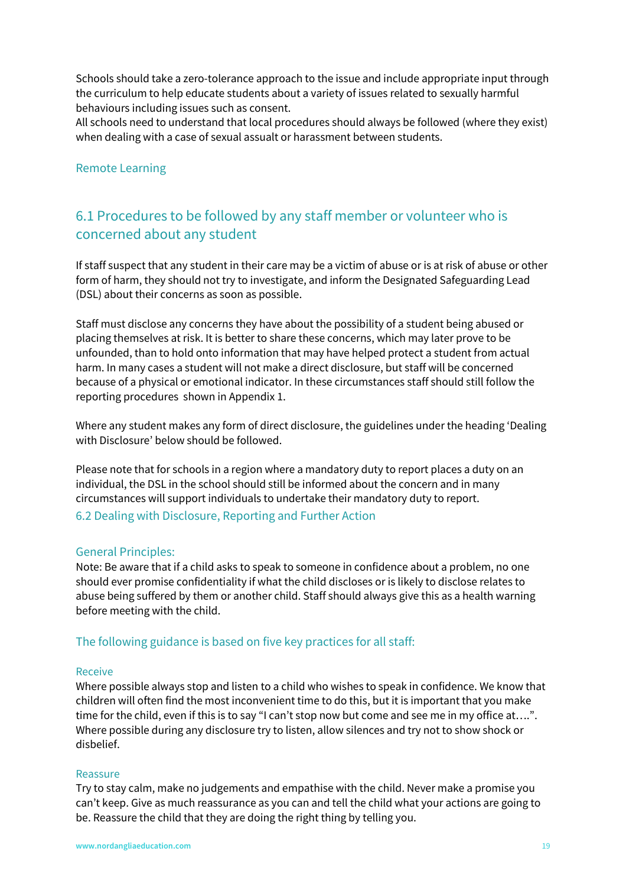Schools should take a zero-tolerance approach to the issue and include appropriate input through the curriculum to help educate students about a variety of issues related to sexually harmful behaviours including issues such as consent.

All schools need to understand that local procedures should always be followed (where they exist) when dealing with a case of sexual assualt or harassment between students.

#### Remote Learning

## 6.1 Procedures to be followed by any staff member or volunteer who is concerned about any student

If staff suspect that any student in their care may be a victim of abuse or is at risk of abuse or other form of harm, they should not try to investigate, and inform the Designated Safeguarding Lead (DSL) about their concerns as soon as possible.

Staff must disclose any concerns they have about the possibility of a student being abused or placing themselves at risk. It is better to share these concerns, which may later prove to be unfounded, than to hold onto information that may have helped protect a student from actual harm. In many cases a student will not make a direct disclosure, but staff will be concerned because of a physical or emotional indicator. In these circumstances staff should still follow the reporting procedures shown in Appendix 1.

Where any student makes any form of direct disclosure, the guidelines under the heading 'Dealing with Disclosure' below should be followed.

Please note that for schools in a region where a mandatory duty to report places a duty on an individual, the DSL in the school should still be informed about the concern and in many circumstances will support individuals to undertake their mandatory duty to report.

#### 6.2 Dealing with Disclosure, Reporting and Further Action

#### General Principles:

Note: Be aware that if a child asks to speak to someone in confidence about a problem, no one should ever promise confidentiality if what the child discloses or is likely to disclose relates to abuse being suffered by them or another child. Staff should always give this as a health warning before meeting with the child.

#### The following guidance is based on five key practices for all staff:

#### Receive

Where possible always stop and listen to a child who wishes to speak in confidence. We know that children will often find the most inconvenient time to do this, but it is important that you make time for the child, even if this is to say "I can't stop now but come and see me in my office at....". Where possible during any disclosure try to listen, allow silences and try not to show shock or disbelief.

#### Reassure

Try to stay calm, make no judgements and empathise with the child. Never make a promise you can't keep. Give as much reassurance as you can and tell the child what your actions are going to be. Reassure the child that they are doing the right thing by telling you.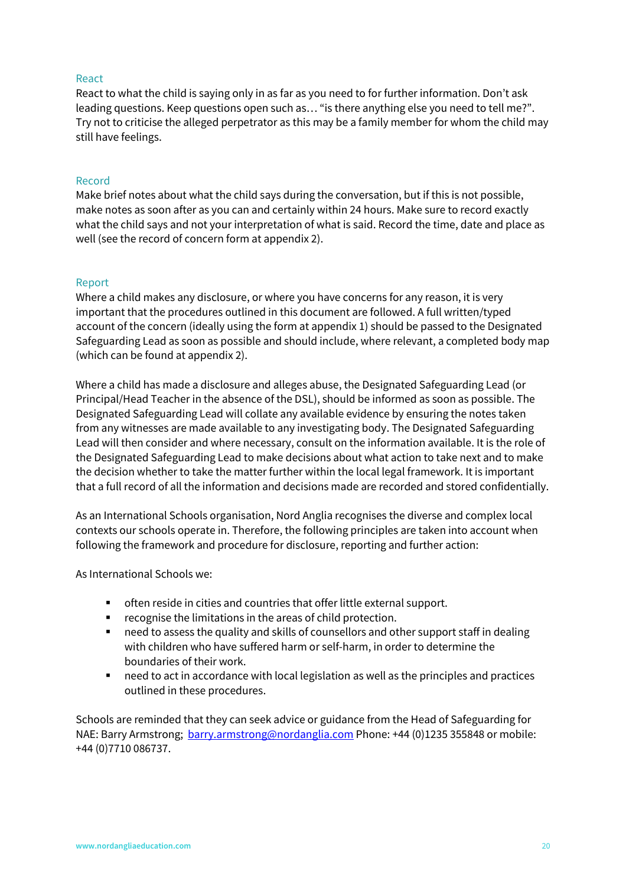#### React

React to what the child is saying only in as far as you need to for further information. Don't ask leading questions. Keep questions open such as… "is there anything else you need to tell me?". Try not to criticise the alleged perpetrator as this may be a family member for whom the child may still have feelings.

#### Record

Make brief notes about what the child says during the conversation, but if this is not possible, make notes as soon after as you can and certainly within 24 hours. Make sure to record exactly what the child says and not your interpretation of what is said. Record the time, date and place as well (see the record of concern form at appendix 2).

#### Report

Where a child makes any disclosure, or where you have concerns for any reason, it is very important that the procedures outlined in this document are followed. A full written/typed account of the concern (ideally using the form at appendix 1) should be passed to the Designated Safeguarding Lead as soon as possible and should include, where relevant, a completed body map (which can be found at appendix 2).

Where a child has made a disclosure and alleges abuse, the Designated Safeguarding Lead (or Principal/Head Teacher in the absence of the DSL), should be informed as soon as possible. The Designated Safeguarding Lead will collate any available evidence by ensuring the notes taken from any witnesses are made available to any investigating body. The Designated Safeguarding Lead will then consider and where necessary, consult on the information available. It is the role of the Designated Safeguarding Lead to make decisions about what action to take next and to make the decision whether to take the matter further within the local legal framework. It is important that a full record of all the information and decisions made are recorded and stored confidentially.

As an International Schools organisation, Nord Anglia recognises the diverse and complex local contexts our schools operate in. Therefore, the following principles are taken into account when following the framework and procedure for disclosure, reporting and further action:

#### As International Schools we:

- often reside in cities and countries that offer little external support.
- recognise the limitations in the areas of child protection.
- need to assess the quality and skills of counsellors and other support staff in dealing with children who have suffered harm or self-harm, in order to determine the boundaries of their work.
- need to act in accordance with local legislation as well as the principles and practices outlined in these procedures.

Schools are reminded that they can seek advice or guidance from the Head of Safeguarding for NAE: Barry Armstrong; [barry.armstrong@nordanglia.com](mailto:barry.armstrong@nordanglia.com) Phone: +44 (0)1235 355848 or mobile: +44 (0)7710 086737.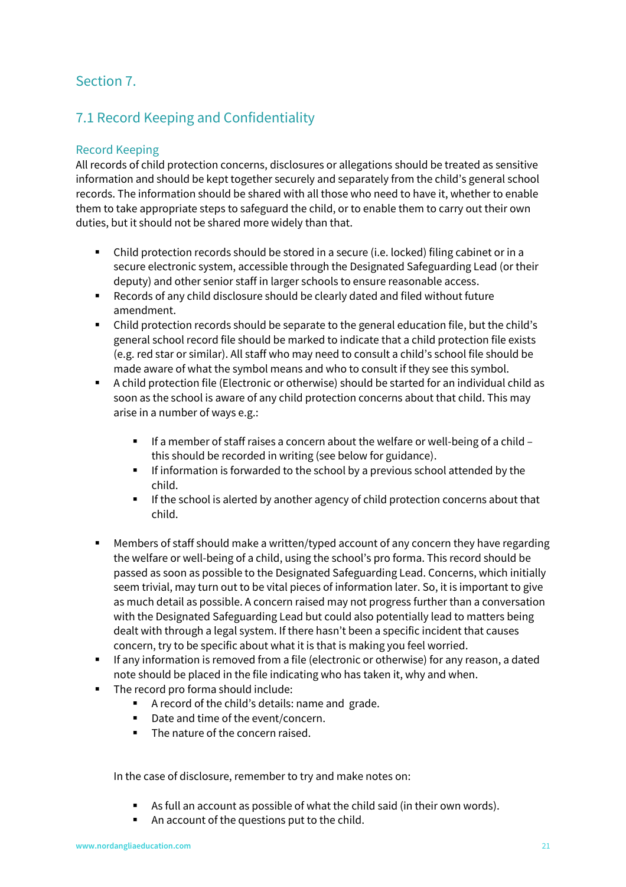## Section 7.

## 7.1 Record Keeping and Confidentiality

### Record Keeping

All records of child protection concerns, disclosures or allegations should be treated as sensitive information and should be kept together securely and separately from the child's general school records. The information should be shared with all those who need to have it, whether to enable them to take appropriate steps to safeguard the child, or to enable them to carry out their own duties, but it should not be shared more widely than that.

- Child protection records should be stored in a secure (i.e. locked) filing cabinet or in a secure electronic system, accessible through the Designated Safeguarding Lead (or their deputy) and other senior staff in larger schools to ensure reasonable access.
- Records of any child disclosure should be clearly dated and filed without future amendment.
- Child protection records should be separate to the general education file, but the child's general school record file should be marked to indicate that a child protection file exists (e.g. red star or similar). All staff who may need to consult a child's school file should be made aware of what the symbol means and who to consult if they see this symbol.
- A child protection file (Electronic or otherwise) should be started for an individual child as soon as the school is aware of any child protection concerns about that child. This may arise in a number of ways e.g.:
	- If a member of staff raises a concern about the welfare or well-being of a child this should be recorded in writing (see below for guidance).
	- If information is forwarded to the school by a previous school attended by the child.
	- If the school is alerted by another agency of child protection concerns about that child.
- **■** Members of staff should make a written/typed account of any concern they have regarding the welfare or well-being of a child, using the school's pro forma. This record should be passed as soon as possible to the Designated Safeguarding Lead. Concerns, which initially seem trivial, may turn out to be vital pieces of information later. So, it is important to give as much detail as possible. A concern raised may not progress further than a conversation with the Designated Safeguarding Lead but could also potentially lead to matters being dealt with through a legal system. If there hasn't been a specific incident that causes concern, try to be specific about what it is that is making you feel worried.
- **EXT** If any information is removed from a file (electronic or otherwise) for any reason, a dated note should be placed in the file indicating who has taken it, why and when.
- The record pro forma should include:
	- A record of the child's details: name and grade.
	- Date and time of the event/concern.
	- The nature of the concern raised.

In the case of disclosure, remember to try and make notes on:

- As full an account as possible of what the child said (in their own words).
- An account of the questions put to the child.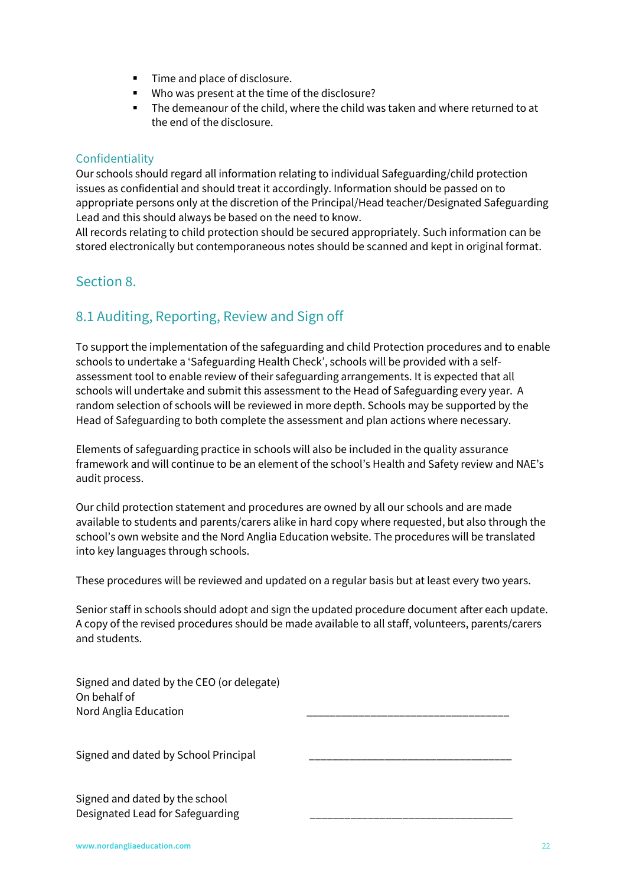- Time and place of disclosure.
- Who was present at the time of the disclosure?
- The demeanour of the child, where the child was taken and where returned to at the end of the disclosure.

#### Confidentiality

Our schools should regard all information relating to individual Safeguarding/child protection issues as confidential and should treat it accordingly. Information should be passed on to appropriate persons only at the discretion of the Principal/Head teacher/Designated Safeguarding Lead and this should always be based on the need to know.

All records relating to child protection should be secured appropriately. Such information can be stored electronically but contemporaneous notes should be scanned and kept in original format.

## Section 8.

## 8.1 Auditing, Reporting, Review and Sign off

To support the implementation of the safeguarding and child Protection procedures and to enable schools to undertake a 'Safeguarding Health Check', schools will be provided with a selfassessment tool to enable review of their safeguarding arrangements. It is expected that all schools will undertake and submit this assessment to the Head of Safeguarding every year. A random selection of schools will be reviewed in more depth. Schools may be supported by the Head of Safeguarding to both complete the assessment and plan actions where necessary.

Elements of safeguarding practice in schools will also be included in the quality assurance framework and will continue to be an element of the school's Health and Safety review and NAE's audit process.

Our child protection statement and procedures are owned by all our schools and are made available to students and parents/carers alike in hard copy where requested, but also through the school's own website and the Nord Anglia Education website. The procedures will be translated into key languages through schools.

These procedures will be reviewed and updated on a regular basis but at least every two years.

Senior staff in schools should adopt and sign the updated procedure document after each update. A copy of the revised procedures should be made available to all staff, volunteers, parents/carers and students.

Signed and dated by the CEO (or delegate) On behalf of Nord Anglia Education

Signed and dated by School Principal

Signed and dated by the school Designated Lead for Safeguarding \_\_\_\_\_\_\_\_\_\_\_\_\_\_\_\_\_\_\_\_\_\_\_\_\_\_\_\_\_\_\_\_\_\_\_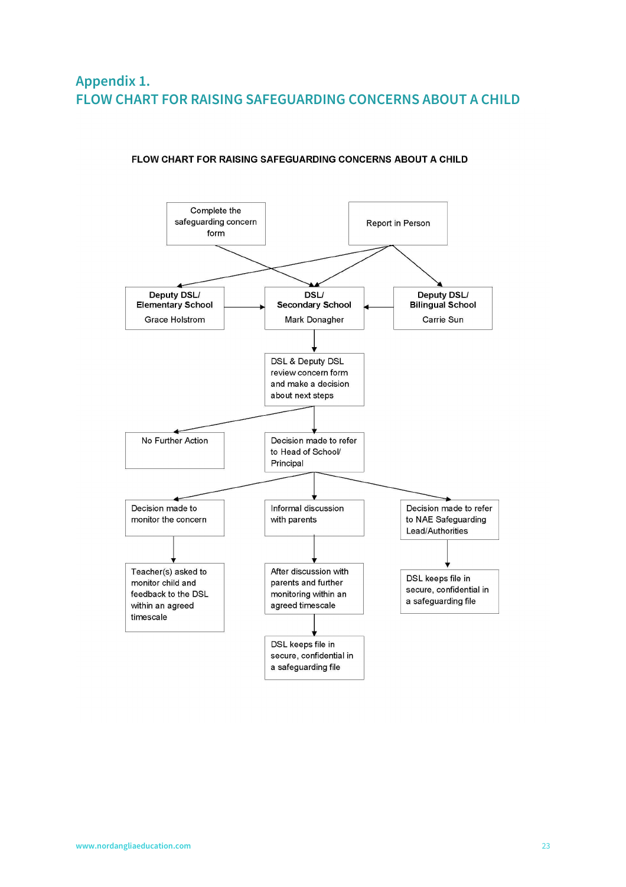## **Appendix 1. FLOW CHART FOR RAISING SAFEGUARDING CONCERNS ABOUT A CHILD**



#### FLOW CHART FOR RAISING SAFEGUARDING CONCERNS ABOUT A CHILD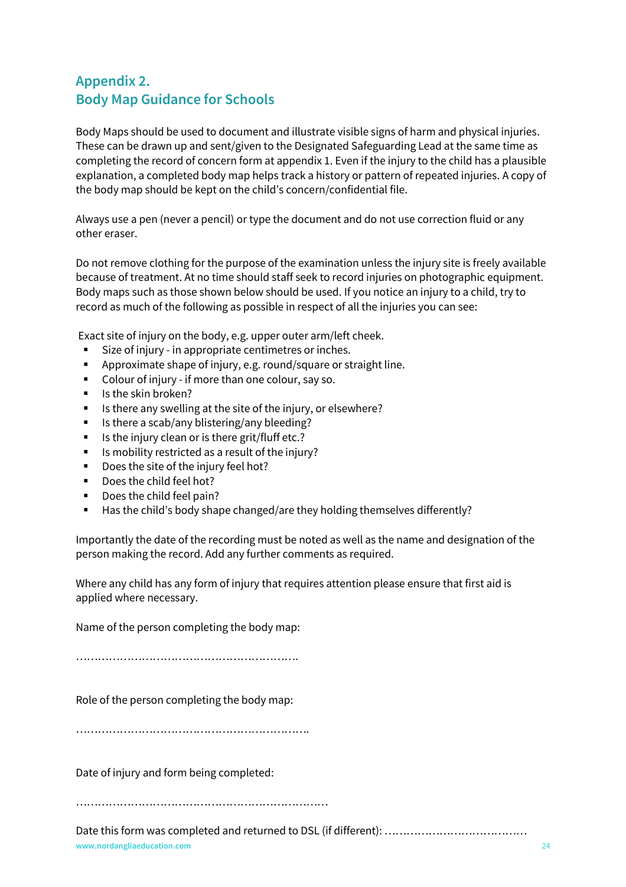## **Appendix 2. Body Map Guidance for Schools**

Body Maps should be used to document and illustrate visible signs of harm and physical injuries. These can be drawn up and sent/given to the Designated Safeguarding Lead at the same time as completing the record of concern form at appendix 1. Even if the injury to the child has a plausible explanation, a completed body map helps track a history or pattern of repeated injuries. A copy of the body map should be kept on the child's concern/confidential file.

Always use a pen (never a pencil) or type the document and do not use correction fluid or any other eraser.

Do not remove clothing for the purpose of the examination unless the injury site is freely available because of treatment. At no time should staff seek to record injuries on photographic equipment. Body maps such as those shown below should be used. If you notice an injury to a child, try to record as much of the following as possible in respect of all the injuries you can see:

Exact site of injury on the body, e.g. upper outer arm/left cheek.

- Size of injury in appropriate centimetres or inches.
- Approximate shape of injury, e.g. round/square or straight line.
- Colour of injury if more than one colour, say so.
- Is the skin broken?
- Is there any swelling at the site of the injury, or elsewhere?
- Is there a scab/any blistering/any bleeding?
- Is the injury clean or is there grit/fluff etc.?
- Is mobility restricted as a result of the injury?
- Does the site of the injury feel hot?
- Does the child feel hot?
- Does the child feel pain?
- Has the child's body shape changed/are they holding themselves differently?

Importantly the date of the recording must be noted as well as the name and designation of the person making the record. Add any further comments as required.

Where any child has any form of injury that requires attention please ensure that first aid is applied where necessary.

Name of the person completing the body map:

…………………………………………………….

Role of the person completing the body map:

……………………………………………………………

Date of injury and form being completed:

……………………………………………………………

Date this form was completed and returned to DSL (if different): …………………………………

**www.nordangliaeducation.com** 24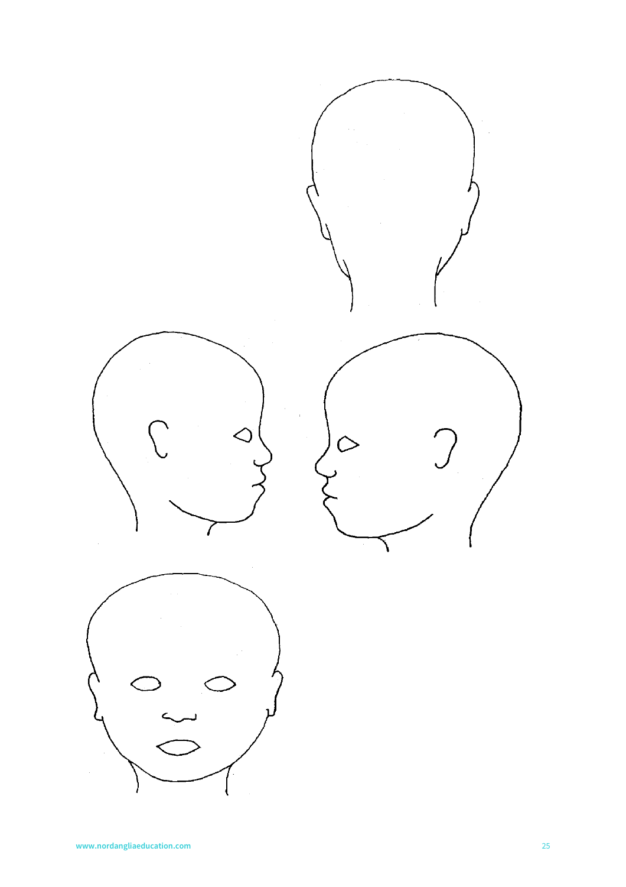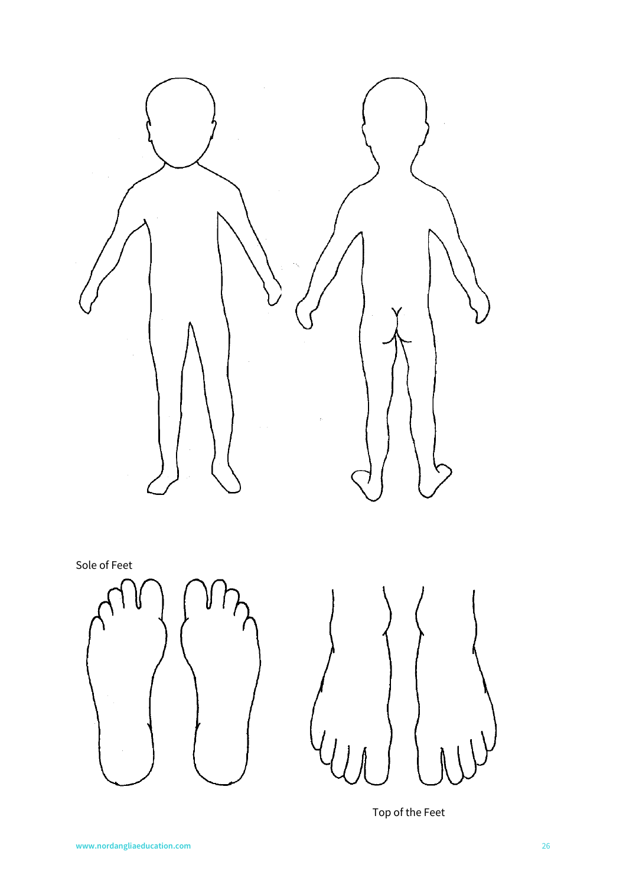

Sole of Feet



Top of the Feet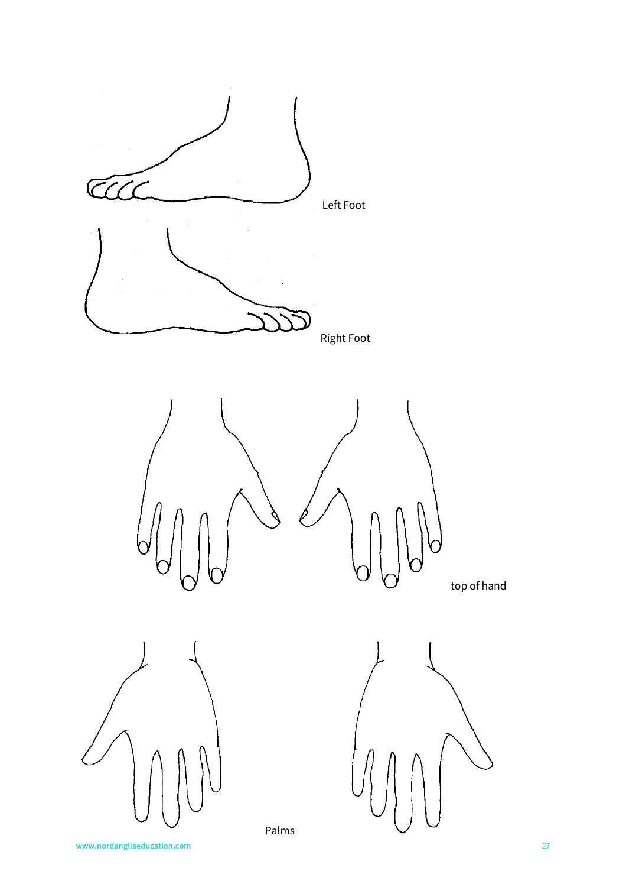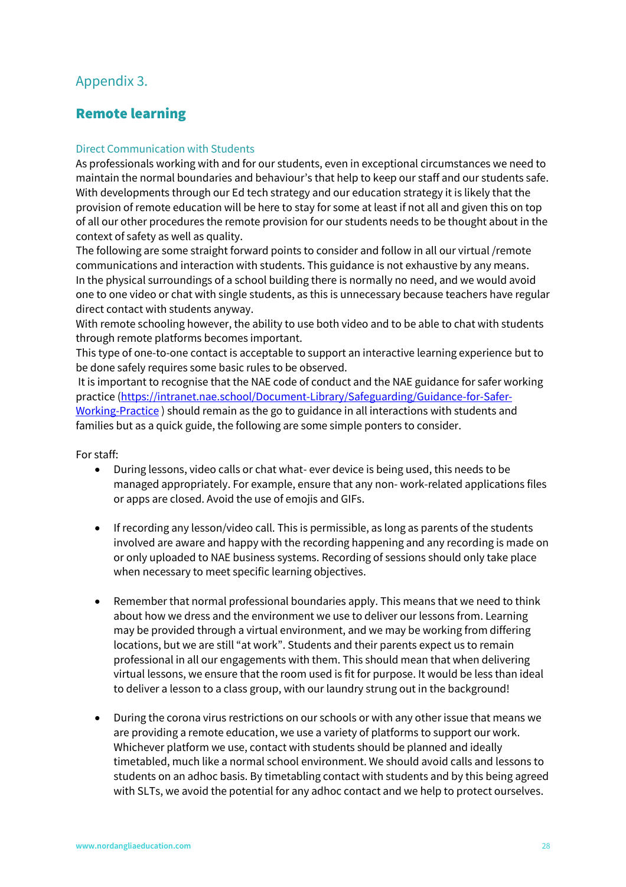## Appendix 3.

## Remote learning

#### Direct Communication with Students

As professionals working with and for our students, even in exceptional circumstances we need to maintain the normal boundaries and behaviour's that help to keep our staff and our students safe. With developments through our Ed tech strategy and our education strategy it is likely that the provision of remote education will be here to stay for some at least if not all and given this on top of all our other procedures the remote provision for our students needs to be thought about in the context of safety as well as quality.

The following are some straight forward points to consider and follow in all our virtual /remote communications and interaction with students. This guidance is not exhaustive by any means. In the physical surroundings of a school building there is normally no need, and we would avoid one to one video or chat with single students, as this is unnecessary because teachers have regular direct contact with students anyway.

With remote schooling however, the ability to use both video and to be able to chat with students through remote platforms becomes important.

This type of one-to-one contact is acceptable to support an interactive learning experience but to be done safely requires some basic rules to be observed.

It is important to recognise that the NAE code of conduct and the NAE guidance for safer working practice [\(https://intranet.nae.school/Document-Library/Safeguarding/Guidance-for-Safer-](https://intranet.nae.school/Document-Library/Safeguarding/Guidance-for-Safer-Working-Practice)[Working-Practice](https://intranet.nae.school/Document-Library/Safeguarding/Guidance-for-Safer-Working-Practice) ) should remain as the go to guidance in all interactions with students and families but as a quick guide, the following are some simple ponters to consider.

For staff:

- During lessons, video calls or chat what- ever device is being used, this needs to be managed appropriately. For example, ensure that any non- work-related applications files or apps are closed. Avoid the use of emojis and GIFs.
- If recording any lesson/video call. This is permissible, as long as parents of the students involved are aware and happy with the recording happening and any recording is made on or only uploaded to NAE business systems. Recording of sessions should only take place when necessary to meet specific learning objectives.
- Remember that normal professional boundaries apply. This means that we need to think about how we dress and the environment we use to deliver our lessons from. Learning may be provided through a virtual environment, and we may be working from differing locations, but we are still "at work". Students and their parents expect us to remain professional in all our engagements with them. This should mean that when delivering virtual lessons, we ensure that the room used is fit for purpose. It would be less than ideal to deliver a lesson to a class group, with our laundry strung out in the background!
- During the corona virus restrictions on our schools or with any other issue that means we are providing a remote education, we use a variety of platforms to support our work. Whichever platform we use, contact with students should be planned and ideally timetabled, much like a normal school environment. We should avoid calls and lessons to students on an adhoc basis. By timetabling contact with students and by this being agreed with SLTs, we avoid the potential for any adhoc contact and we help to protect ourselves.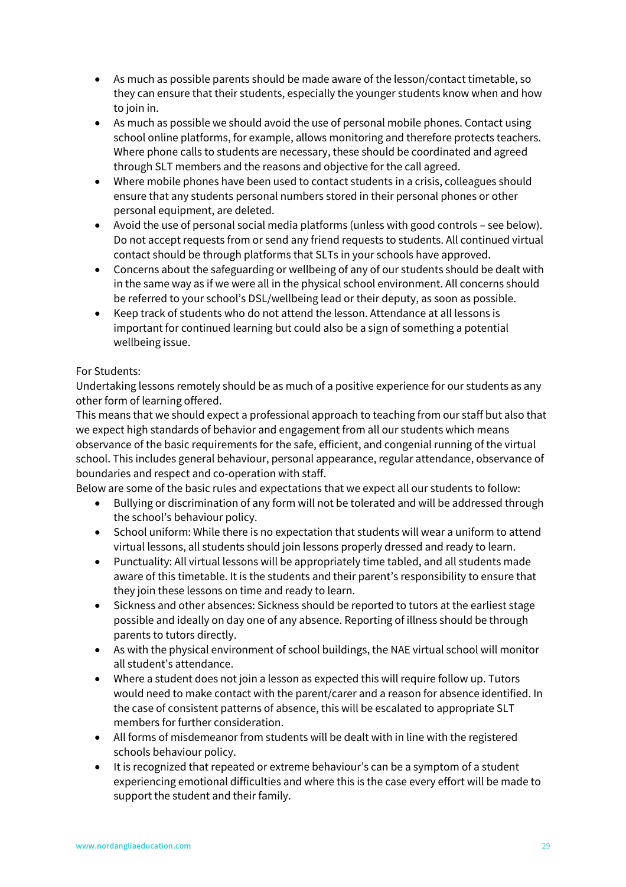- As much as possible parents should be made aware of the lesson/contact timetable, so they can ensure that their students, especially the younger students know when and how to join in.
- As much as possible we should avoid the use of personal mobile phones. Contact using school online platforms, for example, allows monitoring and therefore protects teachers. Where phone calls to students are necessary, these should be coordinated and agreed through SLT members and the reasons and objective for the call agreed.
- Where mobile phones have been used to contact students in a crisis, colleagues should ensure that any students personal numbers stored in their personal phones or other personal equipment, are deleted.
- Avoid the use of personal social media platforms (unless with good controls see below). Do not accept requests from or send any friend requests to students. All continued virtual contact should be through platforms that SLTs in your schools have approved.
- Concerns about the safeguarding or wellbeing of any of our students should be dealt with in the same way as if we were all in the physical school environment. All concerns should be referred to your school's DSL/wellbeing lead or their deputy, as soon as possible.
- Keep track of students who do not attend the lesson. Attendance at all lessons is important for continued learning but could also be a sign of something a potential wellbeing issue.

### For Students:

Undertaking lessons remotely should be as much of a positive experience for our students as any other form of learning offered.

This means that we should expect a professional approach to teaching from our staff but also that we expect high standards of behavior and engagement from all our students which means observance of the basic requirements for the safe, efficient, and congenial running of the virtual school. This includes general behaviour, personal appearance, regular attendance, observance of boundaries and respect and co-operation with staff.

Below are some of the basic rules and expectations that we expect all our students to follow:

- Bullying or discrimination of any form will not be tolerated and will be addressed through the school's behaviour policy.
- School uniform: While there is no expectation that students will wear a uniform to attend virtual lessons, all students should join lessons properly dressed and ready to learn.
- Punctuality: All virtual lessons will be appropriately time tabled, and all students made aware of this timetable. It is the students and their parent's responsibility to ensure that they join these lessons on time and ready to learn.
- Sickness and other absences: Sickness should be reported to tutors at the earliest stage possible and ideally on day one of any absence. Reporting of illness should be through parents to tutors directly.
- As with the physical environment of school buildings, the NAE virtual school will monitor all student's attendance.
- Where a student does not join a lesson as expected this will require follow up. Tutors would need to make contact with the parent/carer and a reason for absence identified. In the case of consistent patterns of absence, this will be escalated to appropriate SLT members for further consideration.
- All forms of misdemeanor from students will be dealt with in line with the registered schools behaviour policy.
- It is recognized that repeated or extreme behaviour's can be a symptom of a student experiencing emotional difficulties and where this is the case every effort will be made to support the student and their family.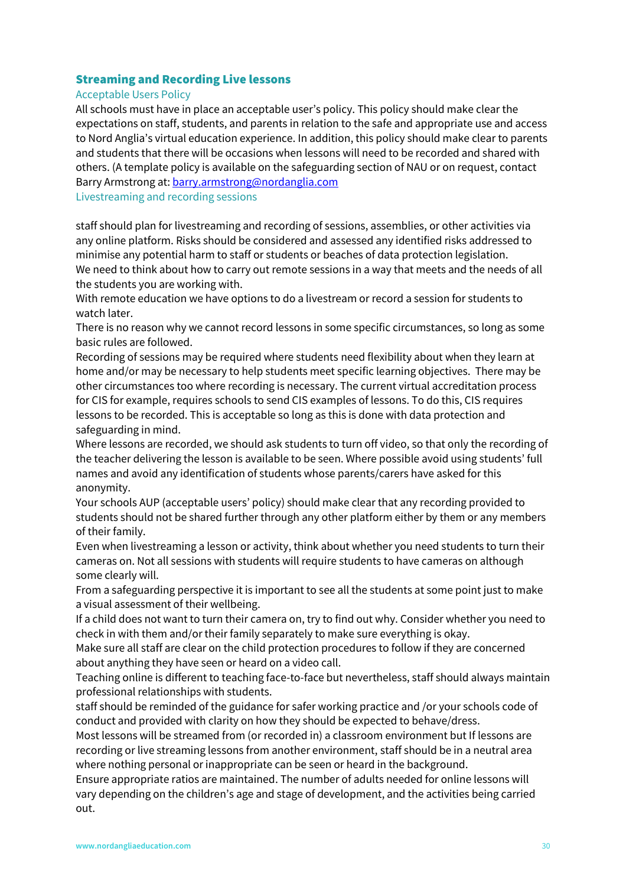#### Streaming and Recording Live lessons

#### Acceptable Users Policy

All schools must have in place an acceptable user's policy. This policy should make clear the expectations on staff, students, and parents in relation to the safe and appropriate use and access to Nord Anglia's virtual education experience. In addition, this policy should make clear to parents and students that there will be occasions when lessons will need to be recorded and shared with others. (A template policy is available on the safeguarding section of NAU or on request, contact Barry Armstrong at: [barry.armstrong@nordanglia.com](mailto:barry.armstrong@nordanglia.com)

Livestreaming and recording sessions

staff should plan for livestreaming and recording of sessions, assemblies, or other activities via any online platform. Risks should be considered and assessed any identified risks addressed to minimise any potential harm to staff or students or beaches of data protection legislation. We need to think about how to carry out remote sessions in a way that meets and the needs of all the students you are working with.

With remote education we have options to do a livestream or record a session for students to watch later.

There is no reason why we cannot record lessons in some specific circumstances, so long as some basic rules are followed.

Recording of sessions may be required where students need flexibility about when they learn at home and/or may be necessary to help students meet specific learning objectives. There may be other circumstances too where recording is necessary. The current virtual accreditation process for CIS for example, requires schools to send CIS examples of lessons. To do this, CIS requires lessons to be recorded. This is acceptable so long as this is done with data protection and safeguarding in mind.

Where lessons are recorded, we should ask students to turn off video, so that only the recording of the teacher delivering the lesson is available to be seen. Where possible avoid using students' full names and avoid any identification of students whose parents/carers have asked for this anonymity.

Your schools AUP (acceptable users' policy) should make clear that any recording provided to students should not be shared further through any other platform either by them or any members of their family.

Even when livestreaming a lesson or activity, think about whether you need students to turn their cameras on. Not all sessions with students will require students to have cameras on although some clearly will.

From a safeguarding perspective it is important to see all the students at some point just to make a visual assessment of their wellbeing.

If a child does not want to turn their camera on, try to find out why. Consider whether you need to check in with them and/or their family separately to make sure everything is okay.

Make sure all staff are clear on the child protection procedures to follow if they are concerned about anything they have seen or heard on a video call.

Teaching online is different to teaching face-to-face but nevertheless, staff should always maintain professional relationships with students.

staff should be reminded of the guidance for safer working practice and /or your schools code of conduct and provided with clarity on how they should be expected to behave/dress.

Most lessons will be streamed from (or recorded in) a classroom environment but If lessons are recording or live streaming lessons from another environment, staff should be in a neutral area where nothing personal or inappropriate can be seen or heard in the background.

Ensure appropriate ratios are maintained. The number of adults needed for online lessons will vary depending on the children's age and stage of development, and the activities being carried out.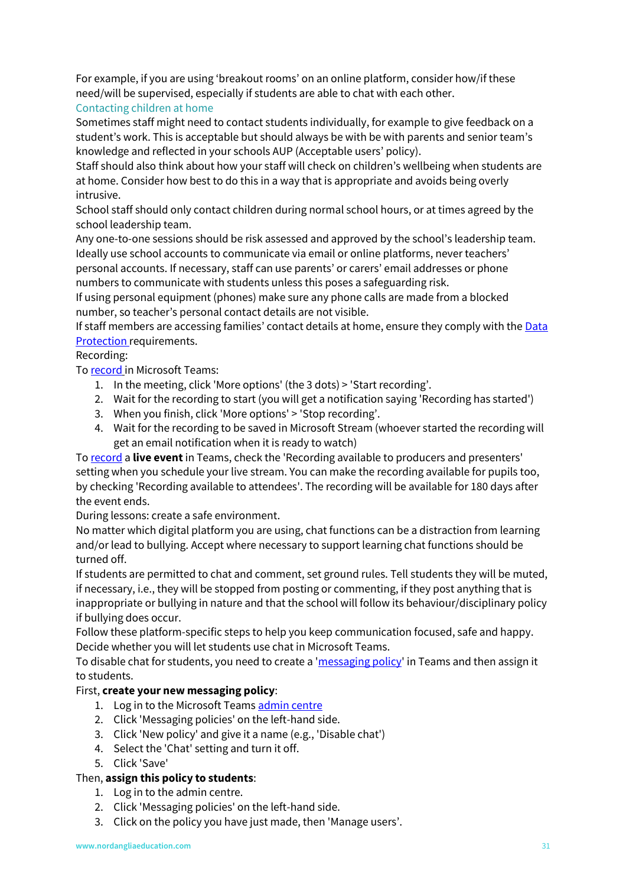For example, if you are using 'breakout rooms' on an online platform, consider how/if these need/will be supervised, especially if students are able to chat with each other.

#### Contacting children at home

Sometimes staff might need to contact students individually, for example to give feedback on a student's work. This is acceptable but should always be with be with parents and senior team's knowledge and reflected in your schools AUP (Acceptable users' policy).

Staff should also think about how your staff will check on children's wellbeing when students are at home. Consider how best to do this in a way that is appropriate and avoids being overly intrusive.

School staff should only contact children during normal school hours, or at times agreed by the school leadership team.

Any one-to-one sessions should be risk assessed and approved by the school's leadership team. Ideally use school accounts to communicate via email or online platforms, never teachers' personal accounts. If necessary, staff can use parents' or carers' email addresses or phone numbers to communicate with students unless this poses a safeguarding risk.

If using personal equipment (phones) make sure any phone calls are made from a blocked number, so teacher's personal contact details are not visible.

If staff members are accessing families' contact details at home, ensure they comply with the Data [Protection r](https://www.legislation.gov.uk/ukpga/2018/12/contents/enacted)equirements.

### Recording:

To [record](https://support.office.com/en-gb/article/record-a-meeting-in-teams-34dfbe7f-b07d-4a27-b4c6-de62f1348c24) in Microsoft Teams:

- 1. In the meeting, click 'More options' (the 3 dots) > 'Start recording'.
- 2. Wait for the recording to start (you will get a notification saying 'Recording has started')
- 3. When you finish, click 'More options' > 'Stop recording'.
- 4. Wait for the recording to be saved in Microsoft Stream (whoever started the recording will get an email notification when it is ready to watch)

To [record](https://support.microsoft.com/en-gb/office/schedule-a-teams-live-event-7a9ce97c-e1cd-470f-acaf-e6dfc179a0e2) a **live event** in Teams, check the 'Recording available to producers and presenters' setting when you schedule your live stream. You can make the recording available for pupils too, by checking 'Recording available to attendees'. The recording will be available for 180 days after the event ends.

During lessons: create a safe environment.

No matter which digital platform you are using, chat functions can be a distraction from learning and/or lead to bullying. Accept where necessary to support learning chat functions should be turned off.

If students are permitted to chat and comment, set ground rules. Tell students they will be muted, if necessary, i.e., they will be stopped from posting or commenting, if they post anything that is inappropriate or bullying in nature and that the school will follow its behaviour/disciplinary policy if bullying does occur.

Follow these platform-specific steps to help you keep communication focused, safe and happy. Decide whether you will let students use chat in Microsoft Teams.

To disable chat for students, you need to create a ['messaging policy'](https://docs.microsoft.com/en-us/microsoftteams/messaging-policies-in-teams) in Teams and then assign it to students.

### First, **create your new messaging policy**:

- 1. Log in to the Microsoft Teams [admin centre](https://admin.teams.microsoft.com/)
- 2. Click 'Messaging policies' on the left-hand side.
- 3. Click 'New policy' and give it a name (e.g., 'Disable chat')
- 4. Select the 'Chat' setting and turn it off.
- 5. Click 'Save'

#### Then, **assign this policy to students**:

- 1. Log in to the admin centre.
- 2. Click 'Messaging policies' on the left-hand side.
- 3. Click on the policy you have just made, then 'Manage users'.